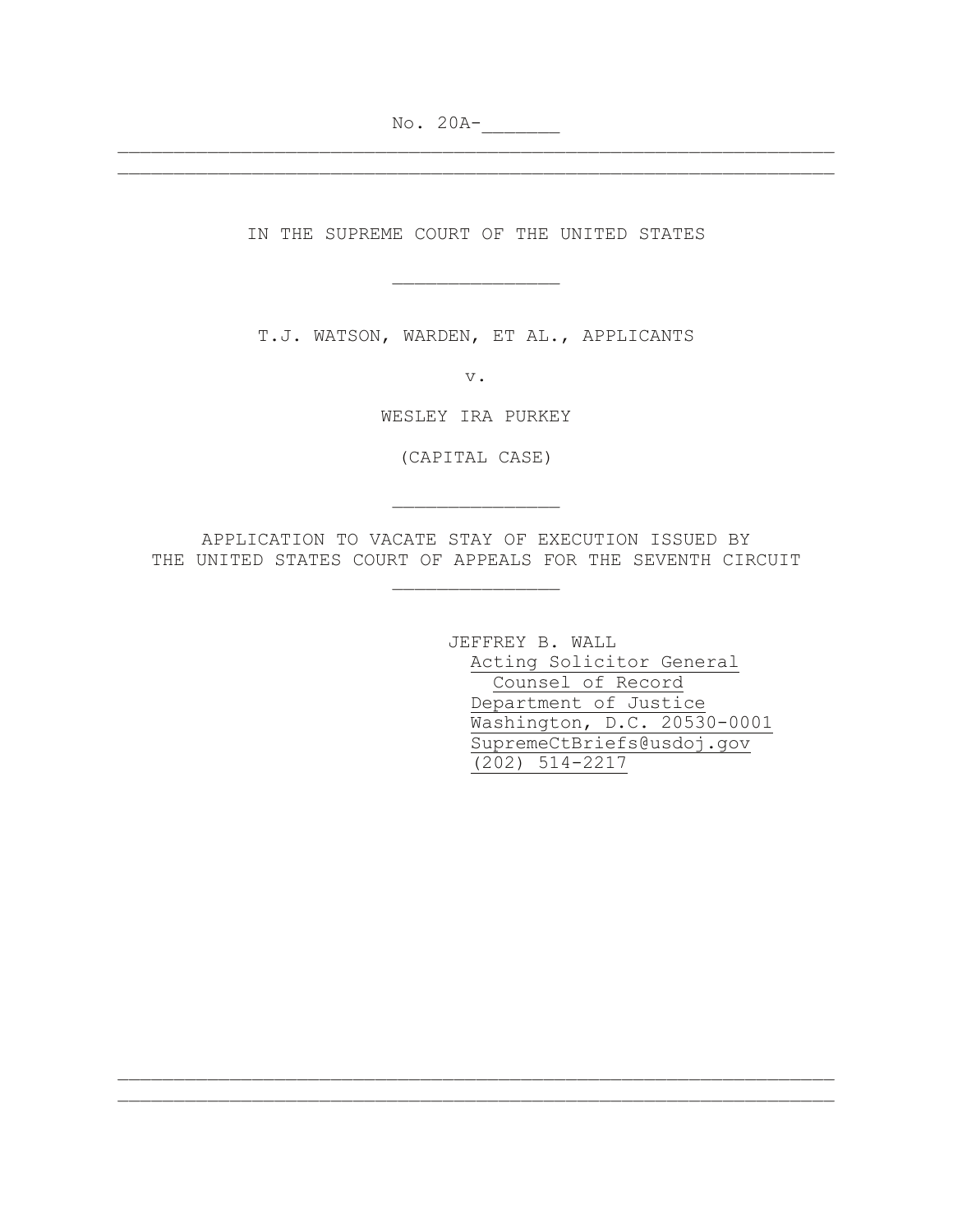No. 20A-

IN THE SUPREME COURT OF THE UNITED STATES

\_\_\_\_\_\_\_\_\_\_\_\_\_\_\_

\_\_\_\_\_\_\_\_\_\_\_\_\_\_\_\_\_\_\_\_\_\_\_\_\_\_\_\_\_\_\_\_\_\_\_\_\_\_\_\_\_\_\_\_\_\_\_\_\_\_\_\_\_\_\_\_\_\_\_\_\_\_\_\_

T.J. WATSON, WARDEN, ET AL., APPLICANTS

v.

WESLEY IRA PURKEY

(CAPITAL CASE)

\_\_\_\_\_\_\_\_\_\_\_\_\_\_\_

APPLICATION TO VACATE STAY OF EXECUTION ISSUED BY THE UNITED STATES COURT OF APPEALS FOR THE SEVENTH CIRCUIT

\_\_\_\_\_\_\_\_\_\_\_\_\_\_\_

\_\_\_\_\_\_\_\_\_\_\_\_\_\_\_\_\_\_\_\_\_\_\_\_\_\_\_\_\_\_\_\_\_\_\_\_\_\_\_\_\_\_\_\_\_\_\_\_\_\_\_\_\_\_\_\_\_\_\_\_\_\_\_\_ \_\_\_\_\_\_\_\_\_\_\_\_\_\_\_\_\_\_\_\_\_\_\_\_\_\_\_\_\_\_\_\_\_\_\_\_\_\_\_\_\_\_\_\_\_\_\_\_\_\_\_\_\_\_\_\_\_\_\_\_\_\_\_\_

JEFFREY B. WALL Acting Solicitor General Counsel of Record Department of Justice Washington, D.C. 20530-0001 SupremeCtBriefs@usdoj.gov (202) 514-2217

\_\_\_\_\_\_\_\_\_\_\_\_\_\_\_\_\_\_\_\_\_\_\_\_\_\_\_\_\_\_\_\_\_\_\_\_\_\_\_\_\_\_\_\_\_\_\_\_\_\_\_\_\_\_\_\_\_\_\_\_\_\_\_\_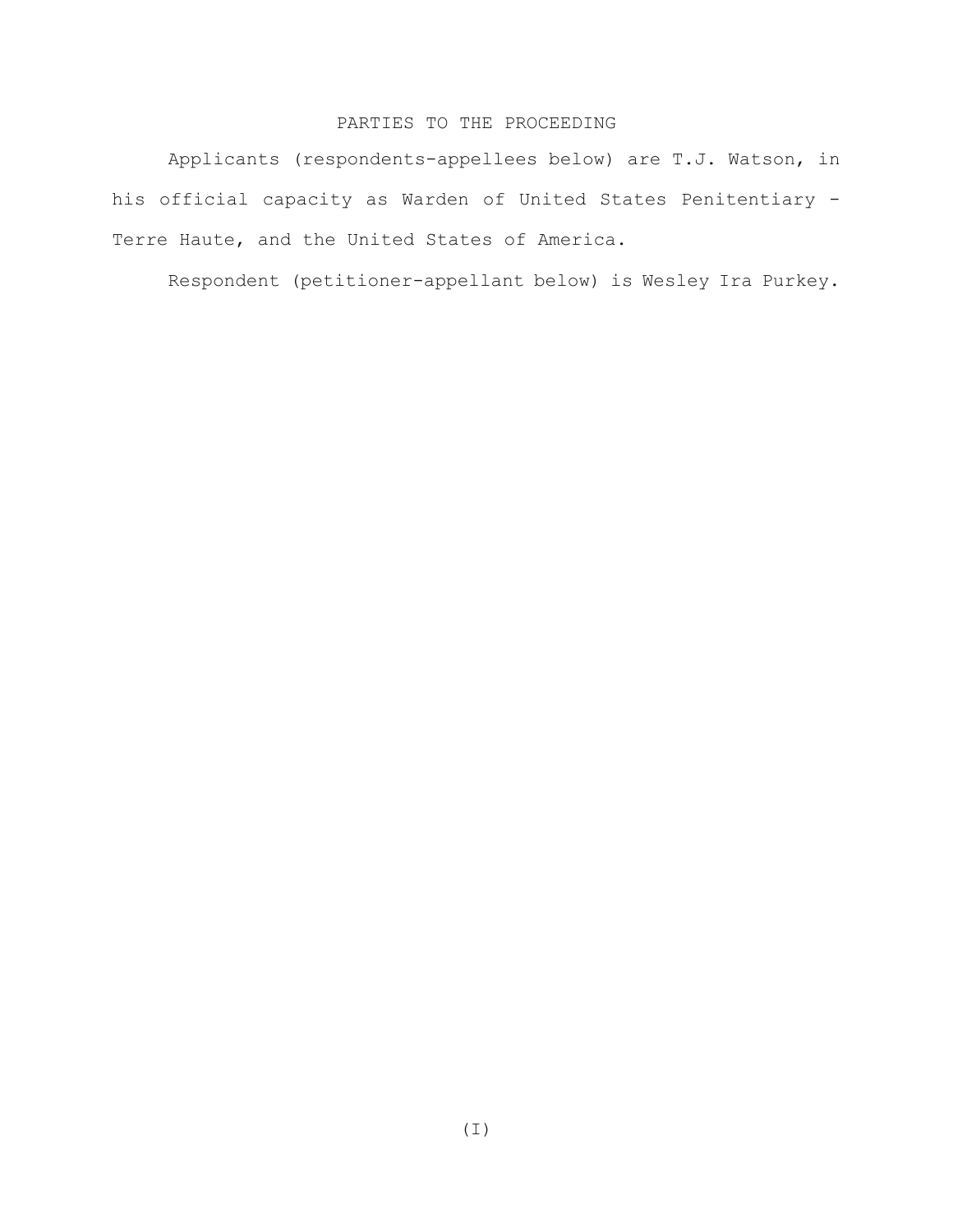# PARTIES TO THE PROCEEDING

Applicants (respondents-appellees below) are T.J. Watson, in his official capacity as Warden of United States Penitentiary - Terre Haute, and the United States of America.

Respondent (petitioner-appellant below) is Wesley Ira Purkey.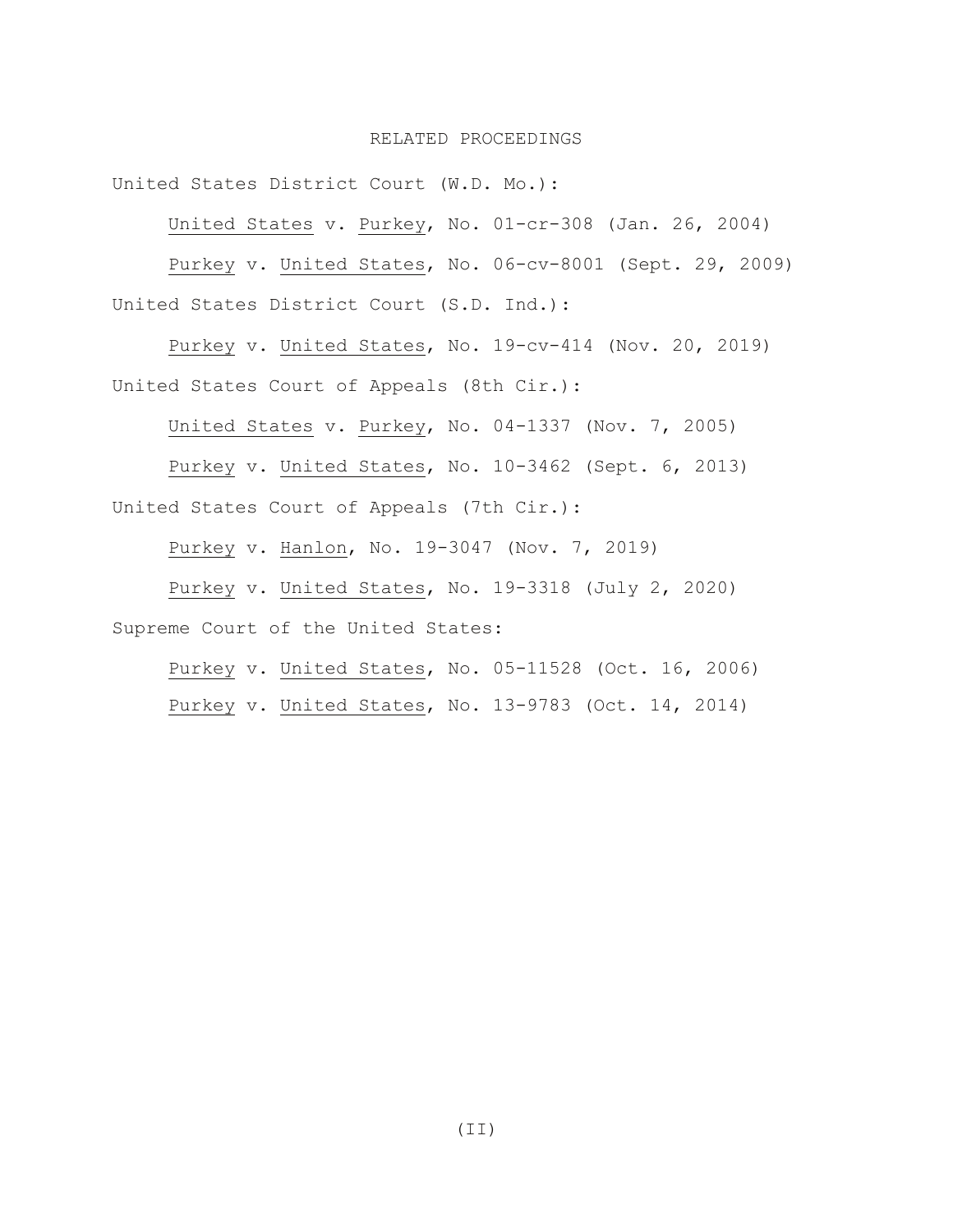## RELATED PROCEEDINGS

United States District Court (W.D. Mo.):

United States v. Purkey, No. 01-cr-308 (Jan. 26, 2004)

Purkey v. United States, No. 06-cv-8001 (Sept. 29, 2009) United States District Court (S.D. Ind.):

Purkey v. United States, No. 19-cv-414 (Nov. 20, 2019) United States Court of Appeals (8th Cir.):

United States v. Purkey, No. 04-1337 (Nov. 7, 2005)

Purkey v. United States, No. 10-3462 (Sept. 6, 2013) United States Court of Appeals (7th Cir.):

Purkey v. Hanlon, No. 19-3047 (Nov. 7, 2019)

Purkey v. United States, No. 19-3318 (July 2, 2020) Supreme Court of the United States:

Purkey v. United States, No. 05-11528 (Oct. 16, 2006) Purkey v. United States, No. 13-9783 (Oct. 14, 2014)

 $(TI)$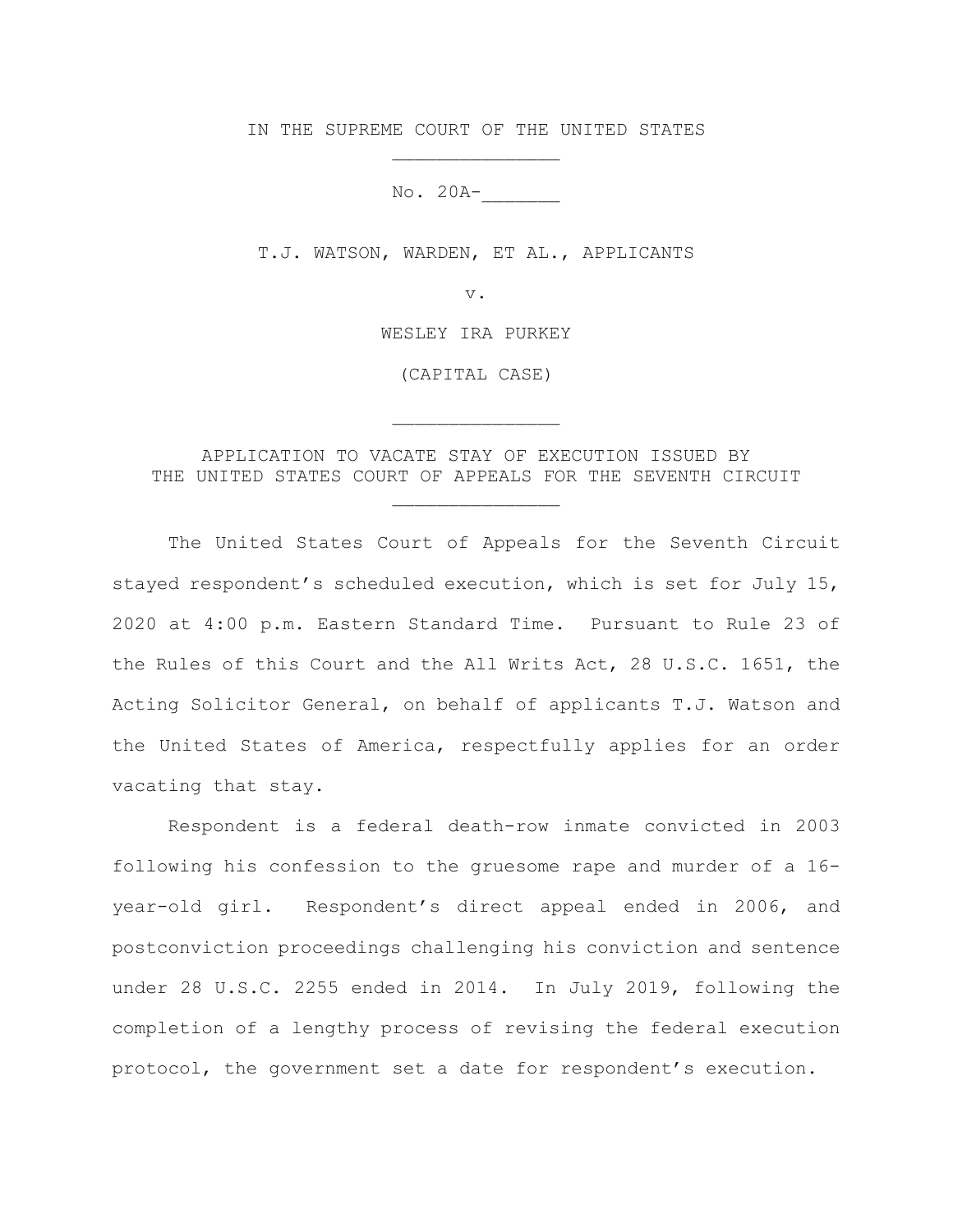IN THE SUPREME COURT OF THE UNITED STATES \_\_\_\_\_\_\_\_\_\_\_\_\_\_\_

No. 20A-\_\_\_\_\_\_\_

T.J. WATSON, WARDEN, ET AL., APPLICANTS

v.

WESLEY IRA PURKEY

(CAPITAL CASE)

\_\_\_\_\_\_\_\_\_\_\_\_\_\_\_

APPLICATION TO VACATE STAY OF EXECUTION ISSUED BY THE UNITED STATES COURT OF APPEALS FOR THE SEVENTH CIRCUIT

\_\_\_\_\_\_\_\_\_\_\_\_\_\_\_

The United States Court of Appeals for the Seventh Circuit stayed respondent's scheduled execution, which is set for July 15, 2020 at 4:00 p.m. Eastern Standard Time. Pursuant to Rule 23 of the Rules of this Court and the All Writs Act, 28 U.S.C. 1651, the Acting Solicitor General, on behalf of applicants T.J. Watson and the United States of America, respectfully applies for an order vacating that stay.

Respondent is a federal death-row inmate convicted in 2003 following his confession to the gruesome rape and murder of a 16 year-old girl. Respondent's direct appeal ended in 2006, and postconviction proceedings challenging his conviction and sentence under 28 U.S.C. 2255 ended in 2014. In July 2019, following the completion of a lengthy process of revising the federal execution protocol, the government set a date for respondent's execution.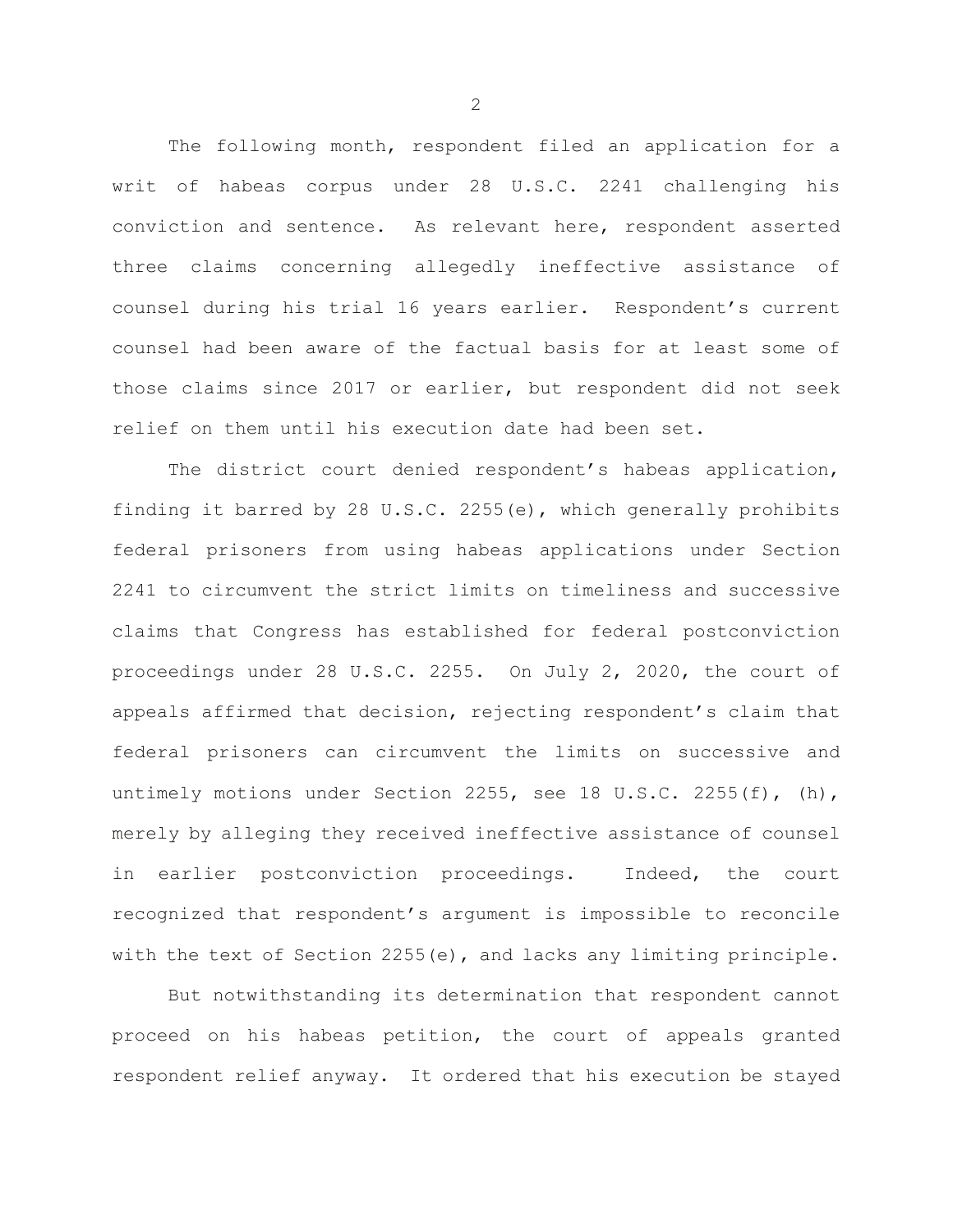The following month, respondent filed an application for a writ of habeas corpus under 28 U.S.C. 2241 challenging his conviction and sentence. As relevant here, respondent asserted three claims concerning allegedly ineffective assistance of counsel during his trial 16 years earlier. Respondent's current counsel had been aware of the factual basis for at least some of those claims since 2017 or earlier, but respondent did not seek relief on them until his execution date had been set.

The district court denied respondent's habeas application, finding it barred by 28 U.S.C. 2255(e), which generally prohibits federal prisoners from using habeas applications under Section 2241 to circumvent the strict limits on timeliness and successive claims that Congress has established for federal postconviction proceedings under 28 U.S.C. 2255. On July 2, 2020, the court of appeals affirmed that decision, rejecting respondent's claim that federal prisoners can circumvent the limits on successive and untimely motions under Section 2255, see 18 U.S.C. 2255 $(f)$ ,  $(h)$ , merely by alleging they received ineffective assistance of counsel in earlier postconviction proceedings. Indeed, the court recognized that respondent's argument is impossible to reconcile with the text of Section 2255(e), and lacks any limiting principle.

But notwithstanding its determination that respondent cannot proceed on his habeas petition, the court of appeals granted respondent relief anyway. It ordered that his execution be stayed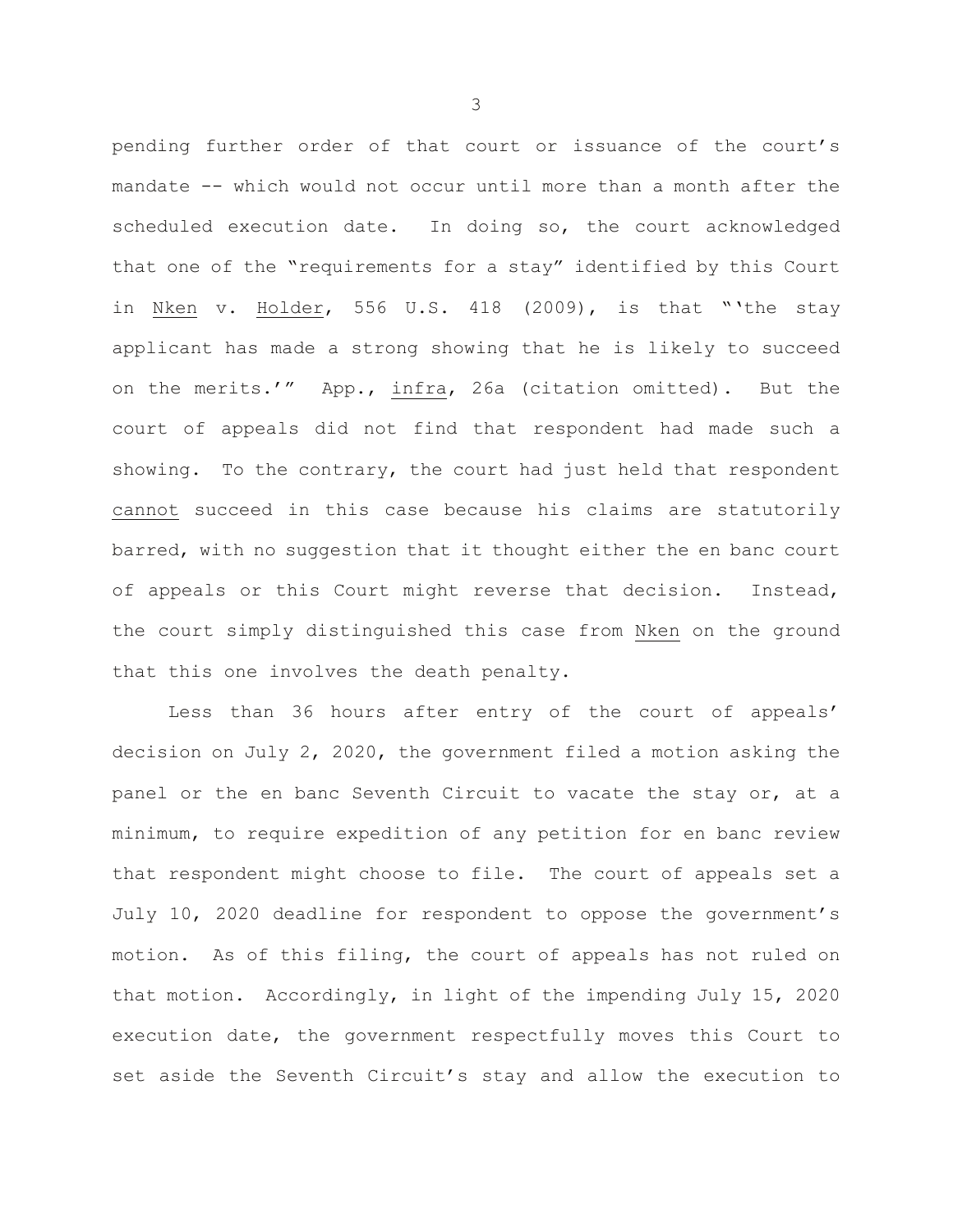pending further order of that court or issuance of the court's mandate -- which would not occur until more than a month after the scheduled execution date. In doing so, the court acknowledged that one of the "requirements for a stay" identified by this Court in Nken v. Holder, 556 U.S. 418 (2009), is that "'the stay applicant has made a strong showing that he is likely to succeed on the merits.'" App., infra, 26a (citation omitted). But the court of appeals did not find that respondent had made such a showing. To the contrary, the court had just held that respondent cannot succeed in this case because his claims are statutorily barred, with no suggestion that it thought either the en banc court of appeals or this Court might reverse that decision. Instead, the court simply distinguished this case from Nken on the ground that this one involves the death penalty.

Less than 36 hours after entry of the court of appeals' decision on July 2, 2020, the government filed a motion asking the panel or the en banc Seventh Circuit to vacate the stay or, at a minimum, to require expedition of any petition for en banc review that respondent might choose to file. The court of appeals set a July 10, 2020 deadline for respondent to oppose the government's motion. As of this filing, the court of appeals has not ruled on that motion. Accordingly, in light of the impending July 15, 2020 execution date, the government respectfully moves this Court to set aside the Seventh Circuit's stay and allow the execution to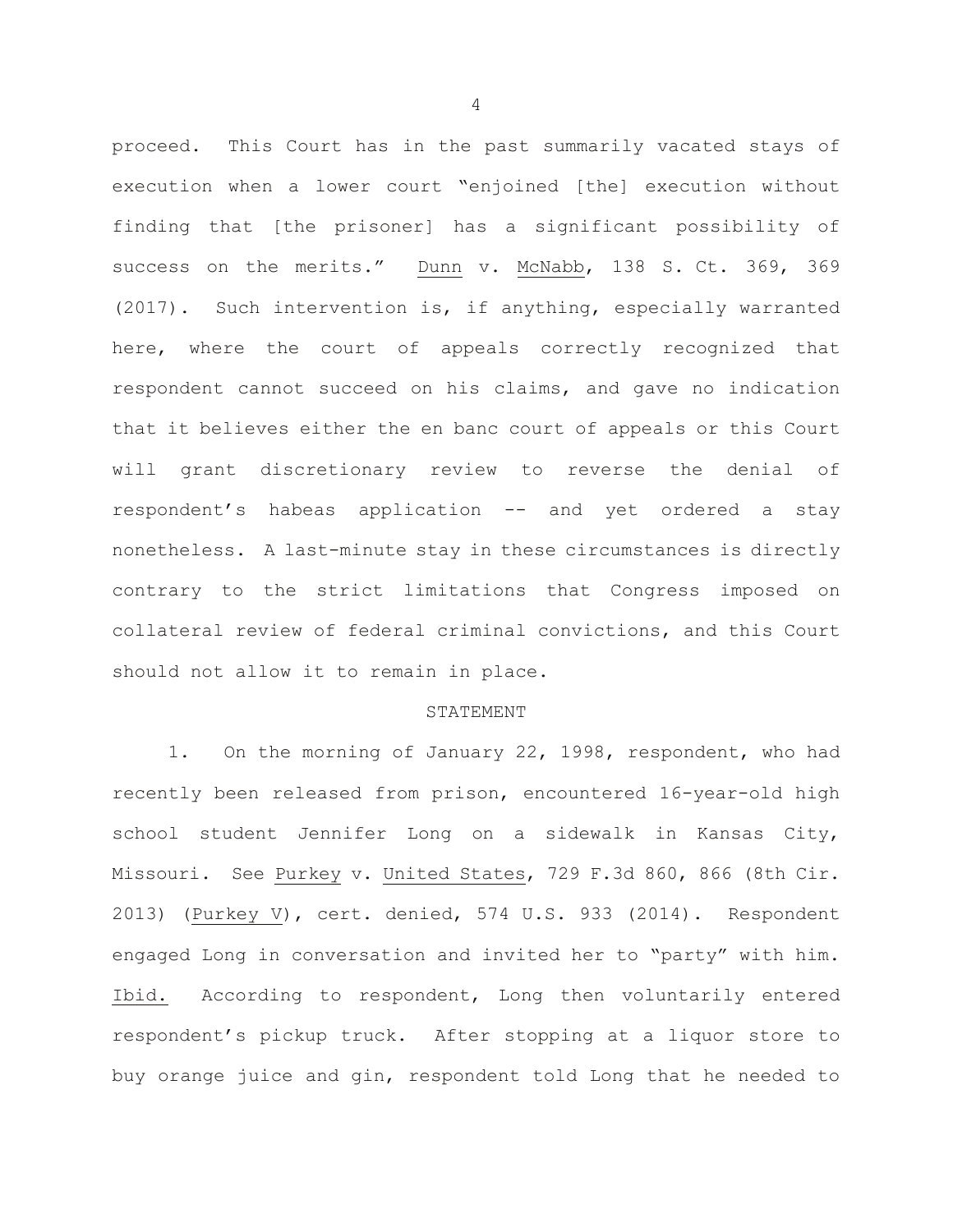proceed. This Court has in the past summarily vacated stays of execution when a lower court "enjoined [the] execution without finding that [the prisoner] has a significant possibility of success on the merits." Dunn v. McNabb, 138 S. Ct. 369, 369 (2017). Such intervention is, if anything, especially warranted here, where the court of appeals correctly recognized that respondent cannot succeed on his claims, and gave no indication that it believes either the en banc court of appeals or this Court will grant discretionary review to reverse the denial of respondent's habeas application -- and yet ordered a stay nonetheless. A last-minute stay in these circumstances is directly contrary to the strict limitations that Congress imposed on collateral review of federal criminal convictions, and this Court should not allow it to remain in place.

### STATEMENT

1. On the morning of January 22, 1998, respondent, who had recently been released from prison, encountered 16-year-old high school student Jennifer Long on a sidewalk in Kansas City, Missouri. See Purkey v. United States, 729 F.3d 860, 866 (8th Cir. 2013) (Purkey V), cert. denied, 574 U.S. 933 (2014). Respondent engaged Long in conversation and invited her to "party" with him. Ibid. According to respondent, Long then voluntarily entered respondent's pickup truck. After stopping at a liquor store to buy orange juice and gin, respondent told Long that he needed to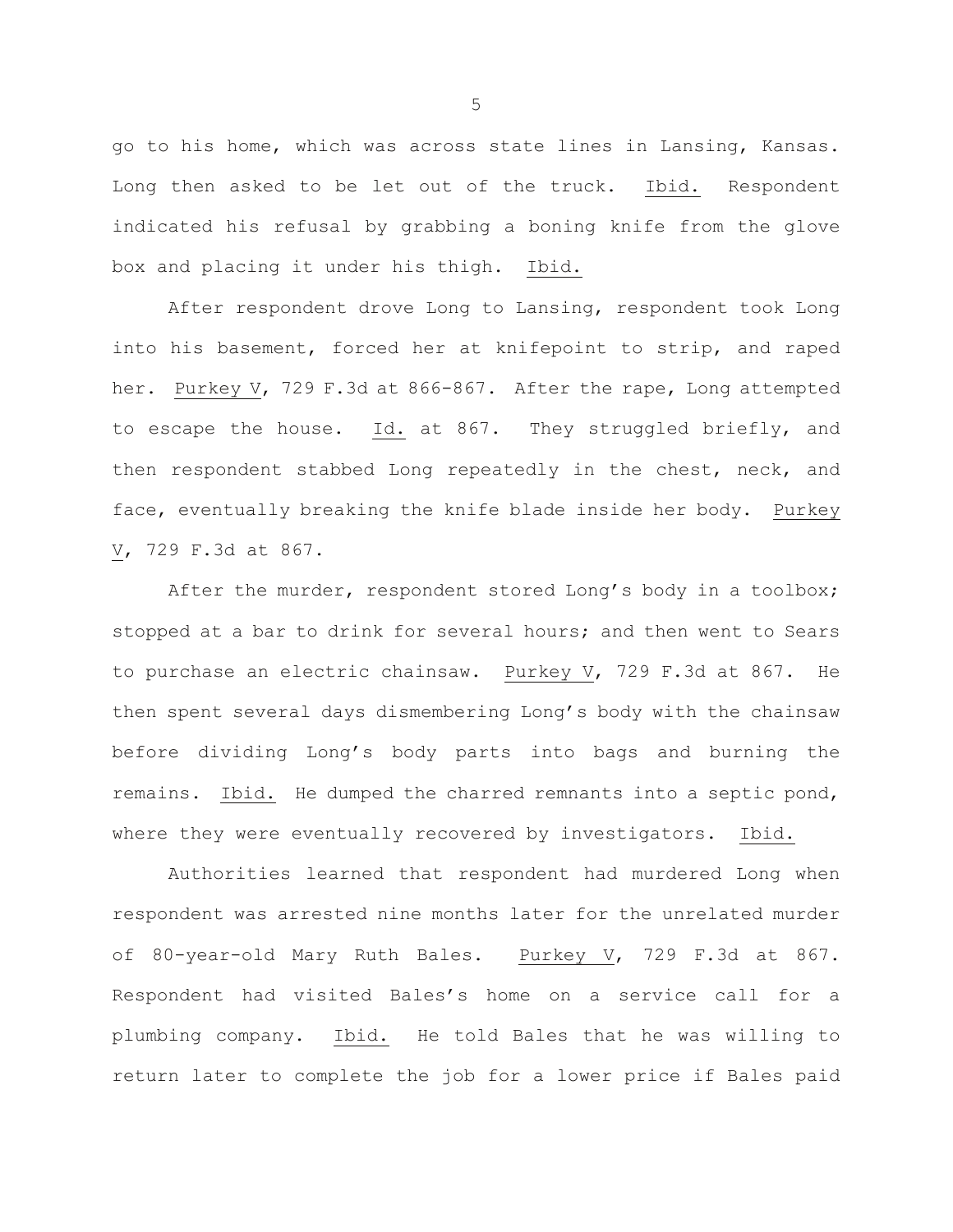go to his home, which was across state lines in Lansing, Kansas. Long then asked to be let out of the truck. Ibid. Respondent indicated his refusal by grabbing a boning knife from the glove box and placing it under his thigh. Ibid.

After respondent drove Long to Lansing, respondent took Long into his basement, forced her at knifepoint to strip, and raped her. Purkey V, 729 F.3d at 866-867. After the rape, Long attempted to escape the house. Id. at 867. They struggled briefly, and then respondent stabbed Long repeatedly in the chest, neck, and face, eventually breaking the knife blade inside her body. Purkey V, 729 F.3d at 867.

After the murder, respondent stored Long's body in a toolbox; stopped at a bar to drink for several hours; and then went to Sears to purchase an electric chainsaw. Purkey V, 729 F.3d at 867. He then spent several days dismembering Long's body with the chainsaw before dividing Long's body parts into bags and burning the remains. Ibid. He dumped the charred remnants into a septic pond, where they were eventually recovered by investigators. Ibid.

Authorities learned that respondent had murdered Long when respondent was arrested nine months later for the unrelated murder of 80-year-old Mary Ruth Bales. Purkey V, 729 F.3d at 867. Respondent had visited Bales's home on a service call for a plumbing company. Ibid. He told Bales that he was willing to return later to complete the job for a lower price if Bales paid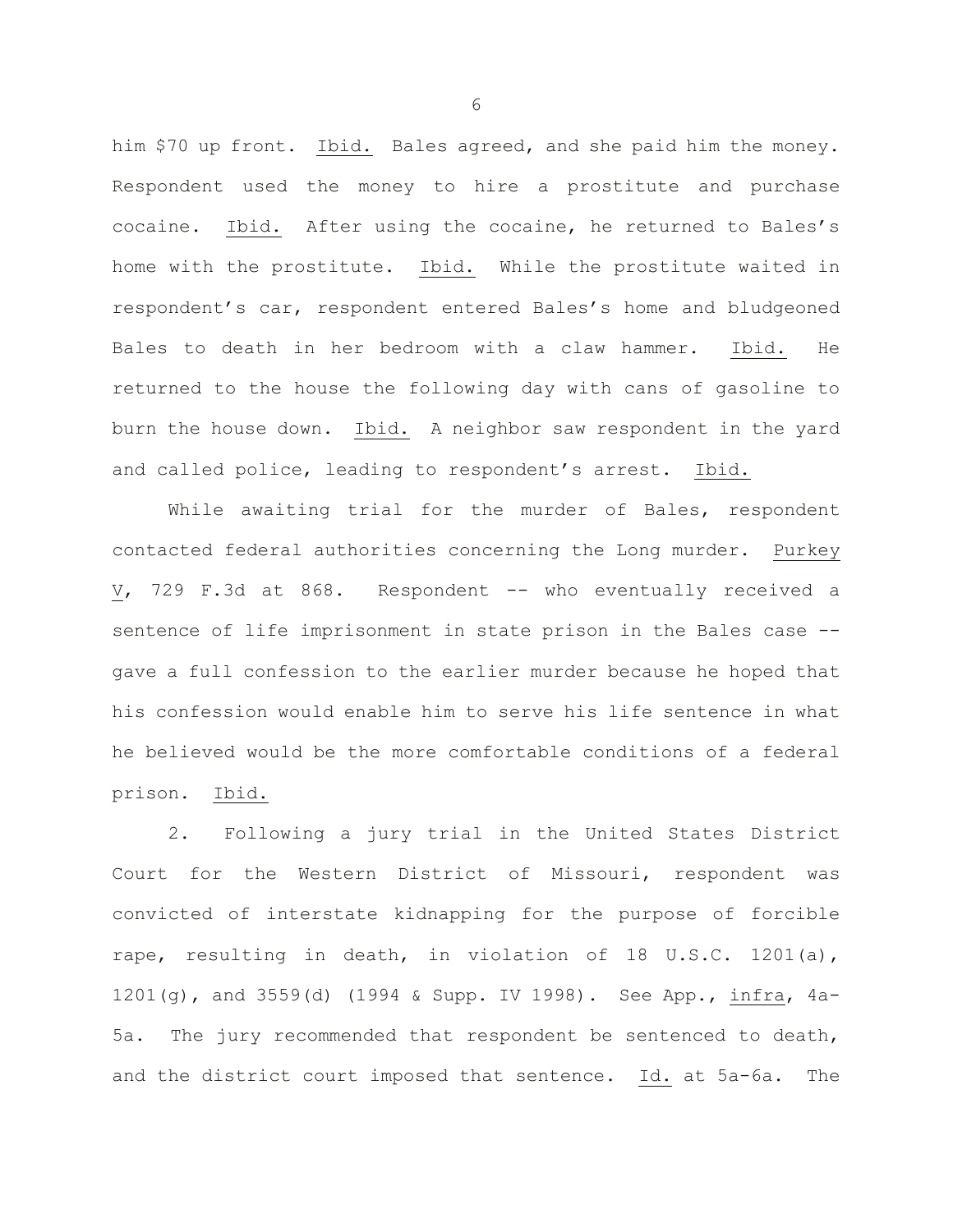him \$70 up front. Ibid. Bales agreed, and she paid him the money. Respondent used the money to hire a prostitute and purchase cocaine. Ibid. After using the cocaine, he returned to Bales's home with the prostitute. Ibid. While the prostitute waited in respondent's car, respondent entered Bales's home and bludgeoned Bales to death in her bedroom with a claw hammer. Ibid. He returned to the house the following day with cans of gasoline to burn the house down. Ibid. A neighbor saw respondent in the yard and called police, leading to respondent's arrest. Ibid.

While awaiting trial for the murder of Bales, respondent contacted federal authorities concerning the Long murder. Purkey V, 729 F.3d at 868. Respondent -- who eventually received a sentence of life imprisonment in state prison in the Bales case - gave a full confession to the earlier murder because he hoped that his confession would enable him to serve his life sentence in what he believed would be the more comfortable conditions of a federal prison. Ibid.

2. Following a jury trial in the United States District Court for the Western District of Missouri, respondent was convicted of interstate kidnapping for the purpose of forcible rape, resulting in death, in violation of 18 U.S.C. 1201(a), 1201(g), and 3559(d) (1994 & Supp. IV 1998). See App., infra, 4a-5a. The jury recommended that respondent be sentenced to death, and the district court imposed that sentence. Id. at 5a-6a. The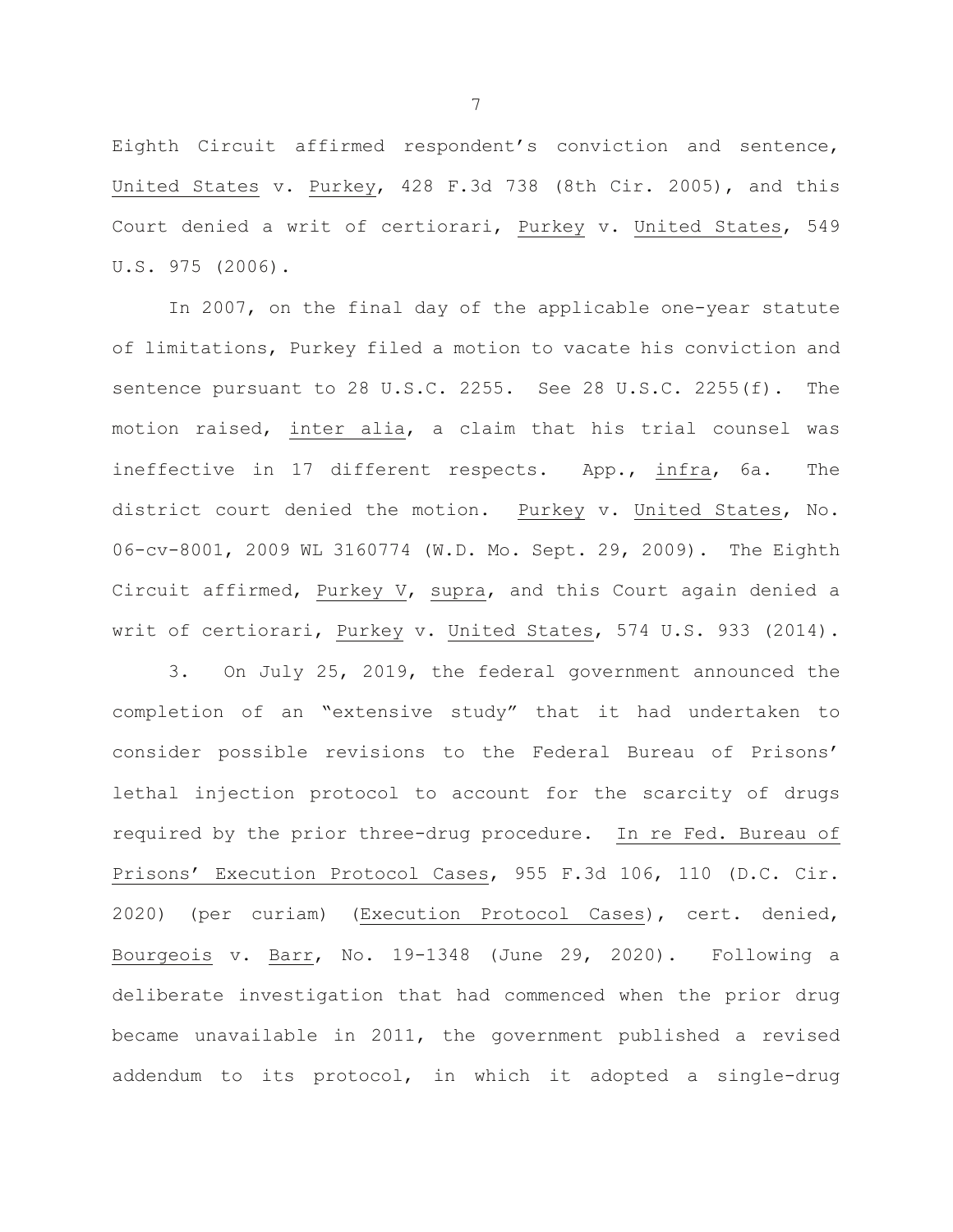Eighth Circuit affirmed respondent's conviction and sentence, United States v. Purkey, 428 F.3d 738 (8th Cir. 2005), and this Court denied a writ of certiorari, Purkey v. United States, 549 U.S. 975 (2006).

In 2007, on the final day of the applicable one-year statute of limitations, Purkey filed a motion to vacate his conviction and sentence pursuant to 28 U.S.C. 2255. See 28 U.S.C. 2255(f). The motion raised, inter alia, a claim that his trial counsel was ineffective in 17 different respects. App., infra, 6a. The district court denied the motion. Purkey v. United States, No. 06-cv-8001, 2009 WL 3160774 (W.D. Mo. Sept. 29, 2009). The Eighth Circuit affirmed, Purkey V, supra, and this Court again denied a writ of certiorari, Purkey v. United States, 574 U.S. 933 (2014).

3. On July 25, 2019, the federal government announced the completion of an "extensive study" that it had undertaken to consider possible revisions to the Federal Bureau of Prisons' lethal injection protocol to account for the scarcity of drugs required by the prior three-drug procedure. In re Fed. Bureau of Prisons' Execution Protocol Cases, 955 F.3d 106, 110 (D.C. Cir. 2020) (per curiam) (Execution Protocol Cases), cert. denied, Bourgeois v. Barr, No. 19-1348 (June 29, 2020). Following a deliberate investigation that had commenced when the prior drug became unavailable in 2011, the government published a revised addendum to its protocol, in which it adopted a single-drug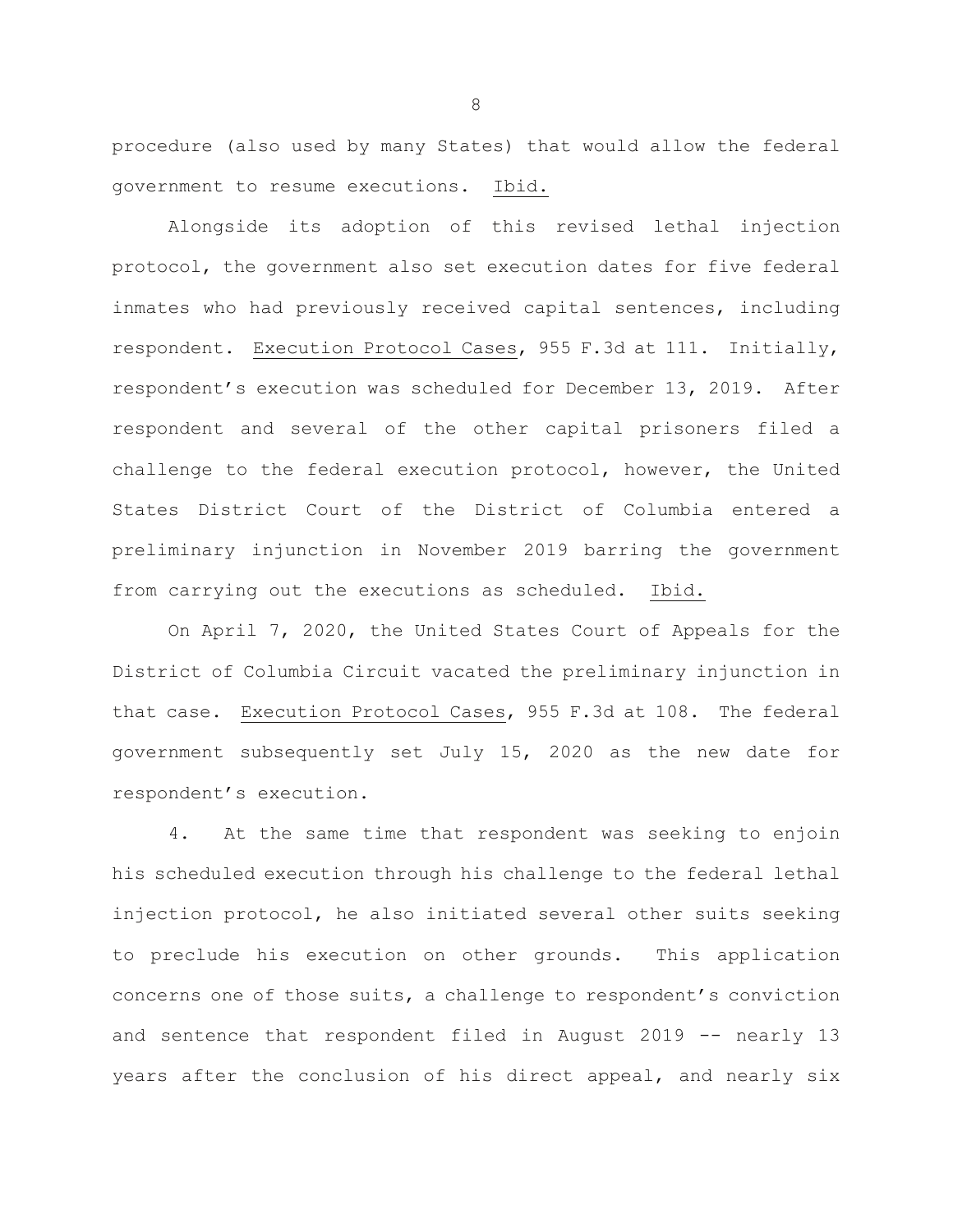procedure (also used by many States) that would allow the federal government to resume executions. Ibid.

Alongside its adoption of this revised lethal injection protocol, the government also set execution dates for five federal inmates who had previously received capital sentences, including respondent. Execution Protocol Cases, 955 F.3d at 111. Initially, respondent's execution was scheduled for December 13, 2019. After respondent and several of the other capital prisoners filed a challenge to the federal execution protocol, however, the United States District Court of the District of Columbia entered a preliminary injunction in November 2019 barring the government from carrying out the executions as scheduled. Ibid.

On April 7, 2020, the United States Court of Appeals for the District of Columbia Circuit vacated the preliminary injunction in that case. Execution Protocol Cases, 955 F.3d at 108. The federal government subsequently set July 15, 2020 as the new date for respondent's execution.

4. At the same time that respondent was seeking to enjoin his scheduled execution through his challenge to the federal lethal injection protocol, he also initiated several other suits seeking to preclude his execution on other grounds. This application concerns one of those suits, a challenge to respondent's conviction and sentence that respondent filed in August 2019 -- nearly 13 years after the conclusion of his direct appeal, and nearly six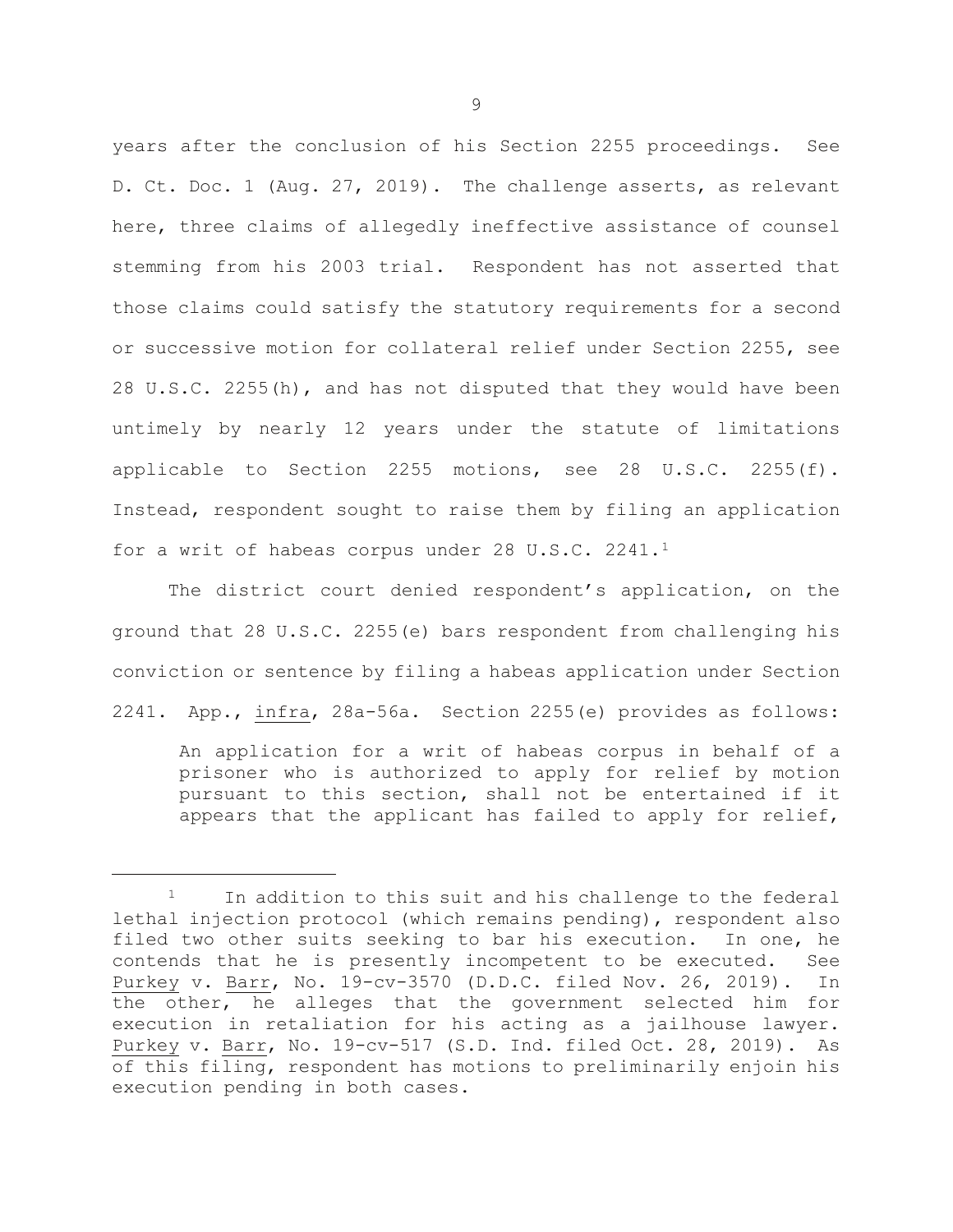years after the conclusion of his Section 2255 proceedings. See D. Ct. Doc. 1 (Aug. 27, 2019). The challenge asserts, as relevant here, three claims of allegedly ineffective assistance of counsel stemming from his 2003 trial. Respondent has not asserted that those claims could satisfy the statutory requirements for a second or successive motion for collateral relief under Section 2255, see 28 U.S.C. 2255(h), and has not disputed that they would have been untimely by nearly 12 years under the statute of limitations applicable to Section 2255 motions, see 28 U.S.C. 2255(f). Instead, respondent sought to raise them by filing an application for a writ of habeas corpus under 28 U.S.C. 2241.[1](#page-11-0)

The district court denied respondent's application, on the ground that 28 U.S.C. 2255(e) bars respondent from challenging his conviction or sentence by filing a habeas application under Section 2241. App., infra, 28a-56a. Section 2255(e) provides as follows:

An application for a writ of habeas corpus in behalf of a prisoner who is authorized to apply for relief by motion pursuant to this section, shall not be entertained if it appears that the applicant has failed to apply for relief,

Ĩ.

<span id="page-11-0"></span> $1$  In addition to this suit and his challenge to the federal lethal injection protocol (which remains pending), respondent also filed two other suits seeking to bar his execution. In one, he contends that he is presently incompetent to be executed. See Purkey v. Barr, No. 19-cv-3570 (D.D.C. filed Nov. 26, 2019). In the other, he alleges that the government selected him for execution in retaliation for his acting as a jailhouse lawyer. Purkey v. Barr, No. 19-cv-517 (S.D. Ind. filed Oct. 28, 2019). As of this filing, respondent has motions to preliminarily enjoin his execution pending in both cases.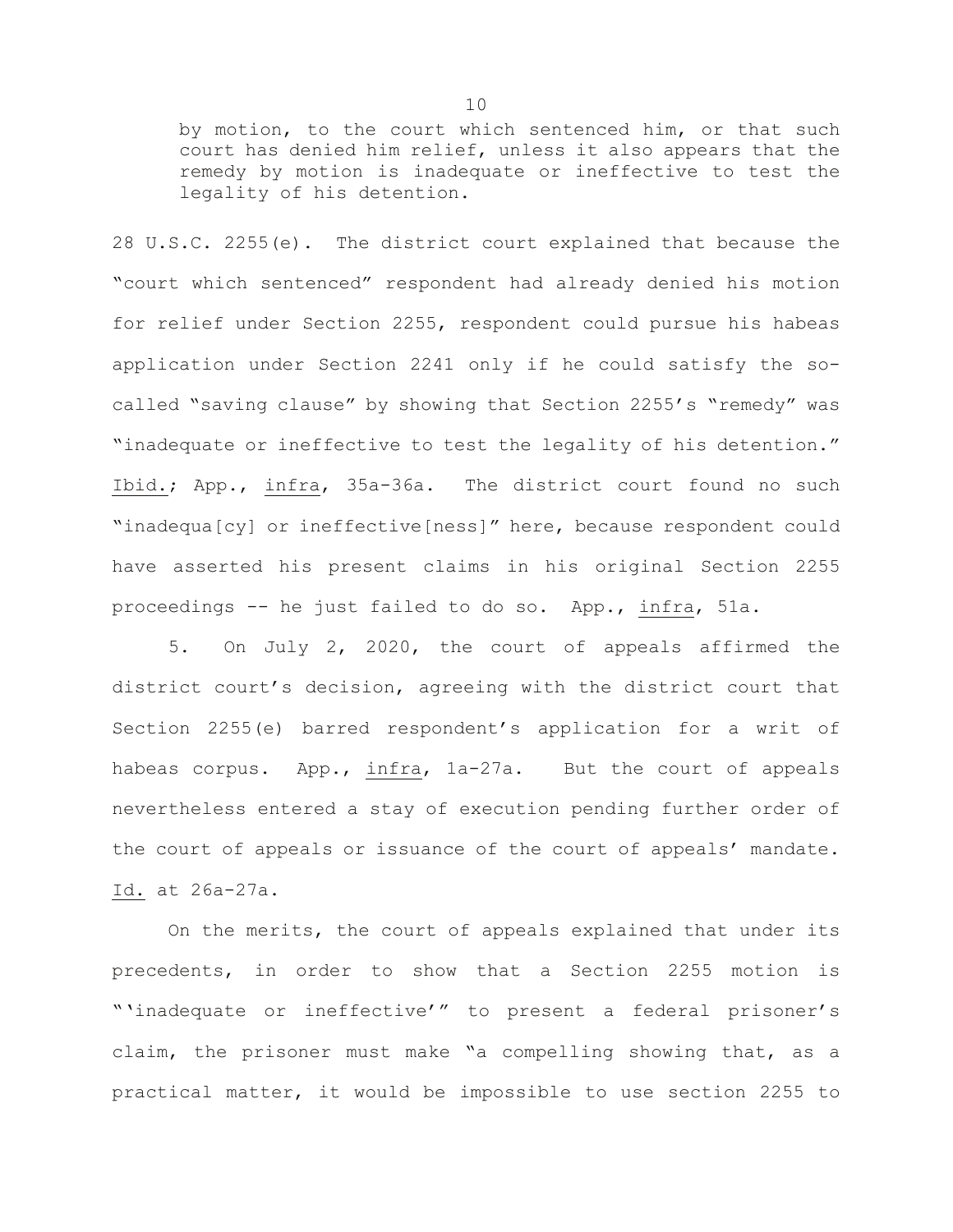by motion, to the court which sentenced him, or that such court has denied him relief, unless it also appears that the remedy by motion is inadequate or ineffective to test the legality of his detention.

28 U.S.C. 2255(e). The district court explained that because the "court which sentenced" respondent had already denied his motion for relief under Section 2255, respondent could pursue his habeas application under Section 2241 only if he could satisfy the socalled "saving clause" by showing that Section 2255's "remedy" was "inadequate or ineffective to test the legality of his detention." Ibid.; App., infra, 35a-36a. The district court found no such "inadequa[cy] or ineffective[ness]" here, because respondent could have asserted his present claims in his original Section 2255 proceedings -- he just failed to do so. App., infra, 51a.

5. On July 2, 2020, the court of appeals affirmed the district court's decision, agreeing with the district court that Section 2255(e) barred respondent's application for a writ of habeas corpus. App., infra, 1a-27a. But the court of appeals nevertheless entered a stay of execution pending further order of the court of appeals or issuance of the court of appeals' mandate. Id. at 26a-27a.

On the merits, the court of appeals explained that under its precedents, in order to show that a Section 2255 motion is "'inadequate or ineffective'" to present a federal prisoner's claim, the prisoner must make "a compelling showing that, as a practical matter, it would be impossible to use section 2255 to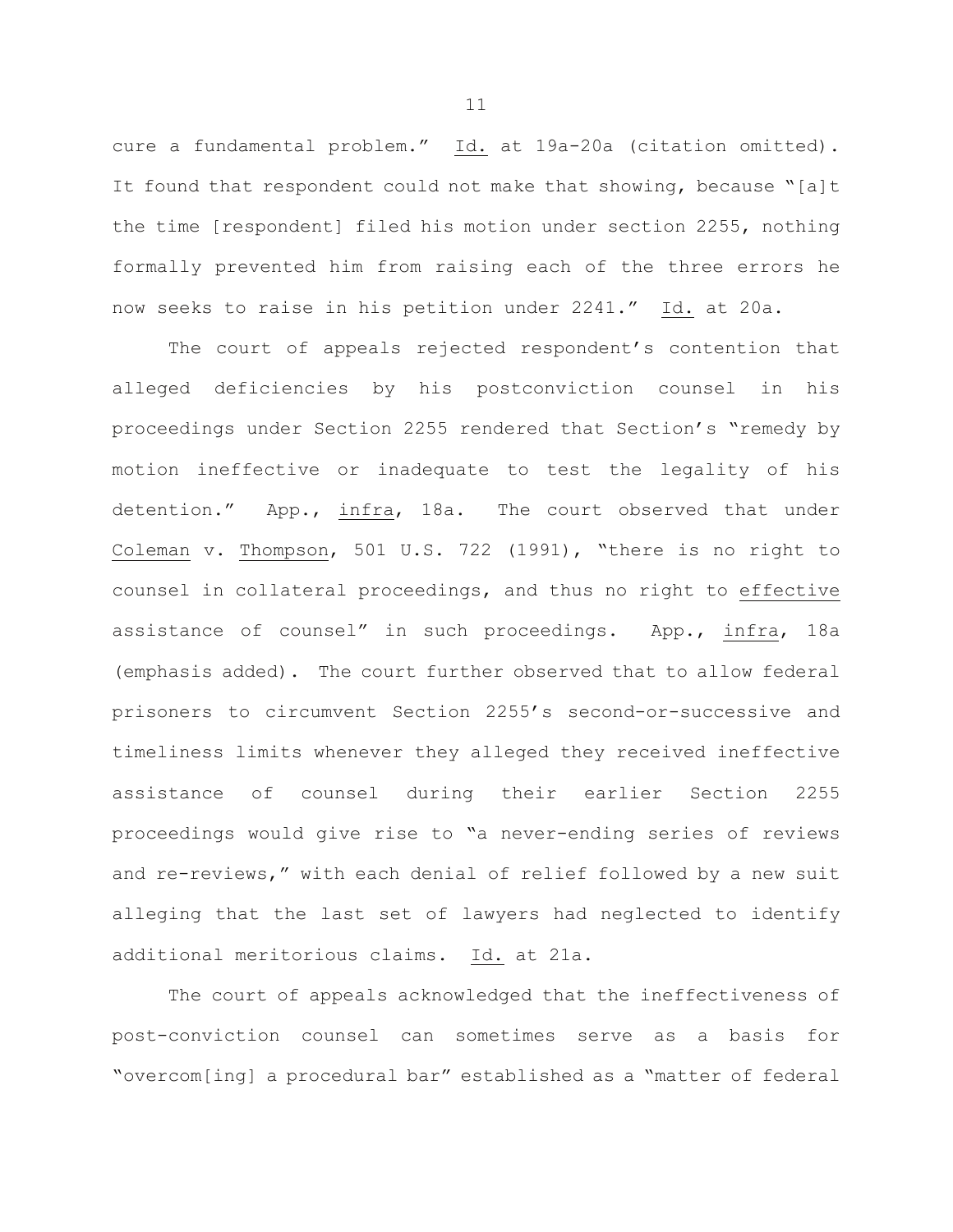cure a fundamental problem." Id. at 19a-20a (citation omitted). It found that respondent could not make that showing, because "[a]t the time [respondent] filed his motion under section 2255, nothing formally prevented him from raising each of the three errors he now seeks to raise in his petition under 2241." Id. at 20a.

The court of appeals rejected respondent's contention that alleged deficiencies by his postconviction counsel in his proceedings under Section 2255 rendered that Section's "remedy by motion ineffective or inadequate to test the legality of his detention." App., infra, 18a. The court observed that under Coleman v. Thompson, 501 U.S. 722 (1991), "there is no right to counsel in collateral proceedings, and thus no right to effective assistance of counsel" in such proceedings. App., infra, 18a (emphasis added). The court further observed that to allow federal prisoners to circumvent Section 2255's second-or-successive and timeliness limits whenever they alleged they received ineffective assistance of counsel during their earlier Section 2255 proceedings would give rise to "a never-ending series of reviews and re-reviews," with each denial of relief followed by a new suit alleging that the last set of lawyers had neglected to identify additional meritorious claims. Id. at 21a.

The court of appeals acknowledged that the ineffectiveness of post-conviction counsel can sometimes serve as a basis for "overcom[ing] a procedural bar" established as a "matter of federal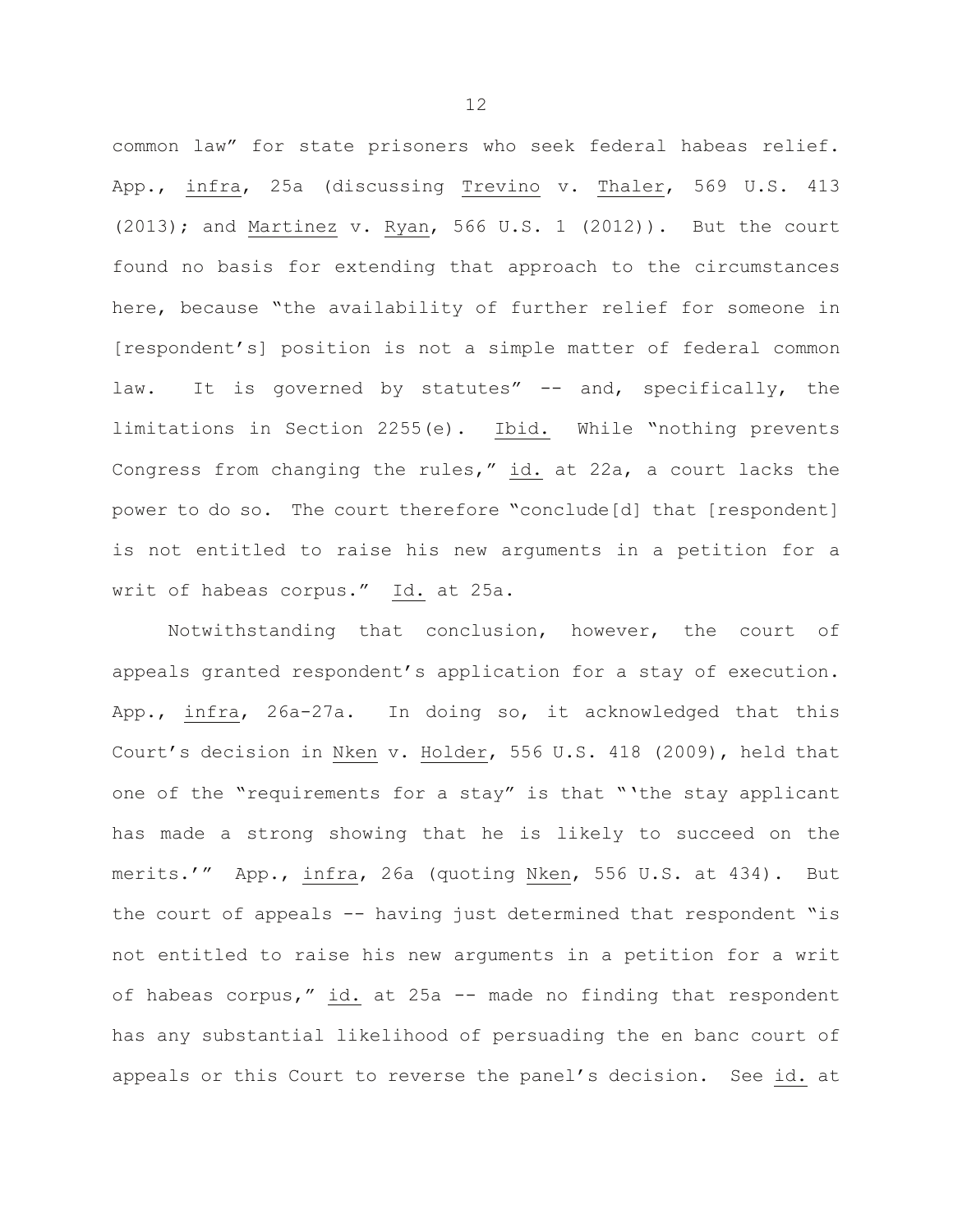common law" for state prisoners who seek federal habeas relief. App., infra, 25a (discussing Trevino v. Thaler, 569 U.S. 413 (2013); and Martinez v. Ryan, 566 U.S. 1 (2012)). But the court found no basis for extending that approach to the circumstances here, because "the availability of further relief for someone in [respondent's] position is not a simple matter of federal common law. It is governed by statutes" -- and, specifically, the limitations in Section 2255(e). Ibid. While "nothing prevents Congress from changing the rules," id. at 22a, a court lacks the power to do so. The court therefore "conclude[d] that [respondent] is not entitled to raise his new arguments in a petition for a writ of habeas corpus." Id. at 25a.

Notwithstanding that conclusion, however, the court of appeals granted respondent's application for a stay of execution. App., infra, 26a-27a. In doing so, it acknowledged that this Court's decision in Nken v. Holder, 556 U.S. 418 (2009), held that one of the "requirements for a stay" is that "'the stay applicant has made a strong showing that he is likely to succeed on the merits.'" App., infra, 26a (quoting Nken, 556 U.S. at 434). But the court of appeals -- having just determined that respondent "is not entitled to raise his new arguments in a petition for a writ of habeas corpus," id. at 25a -- made no finding that respondent has any substantial likelihood of persuading the en banc court of appeals or this Court to reverse the panel's decision. See id. at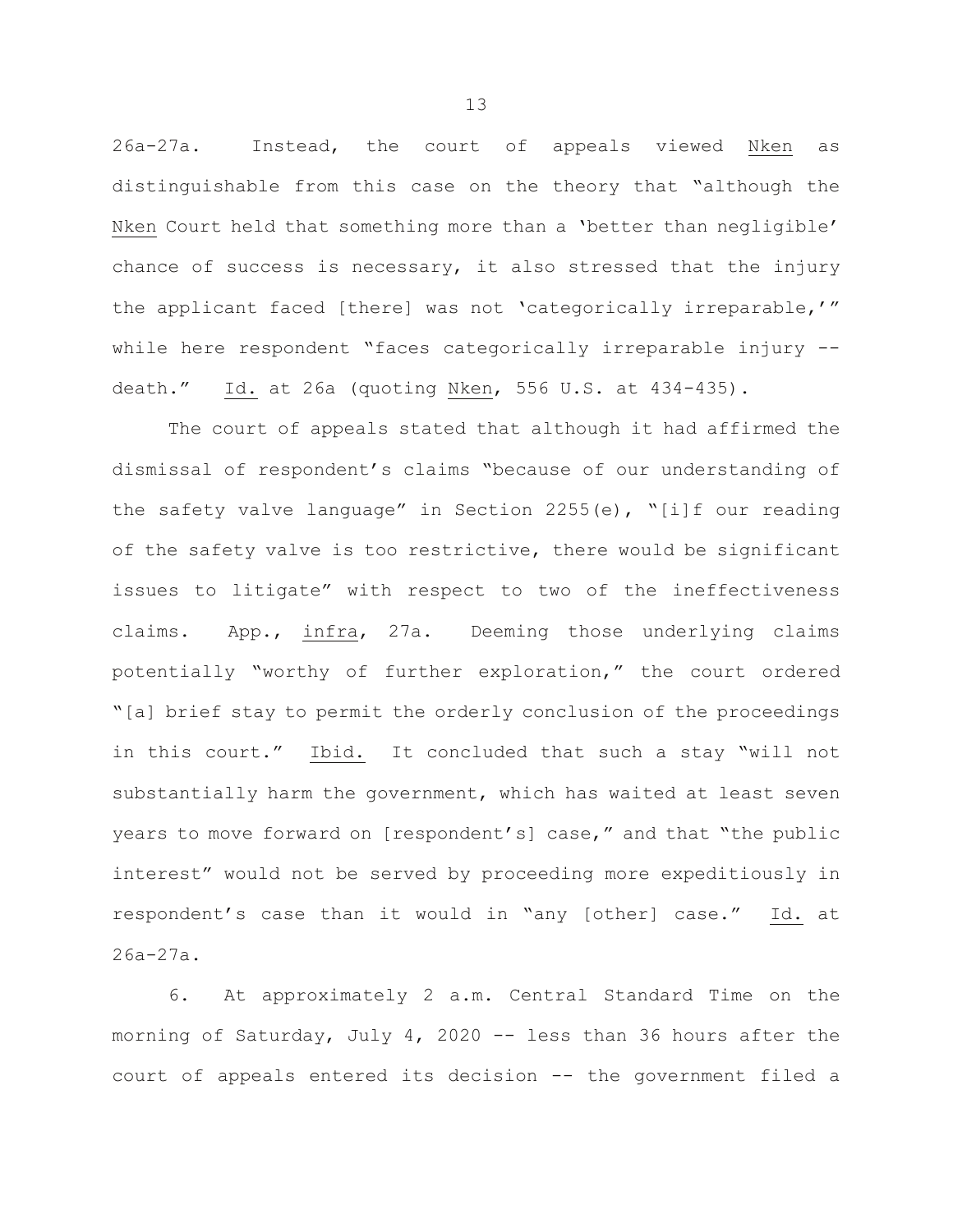26a-27a. Instead, the court of appeals viewed Nken as distinguishable from this case on the theory that "although the Nken Court held that something more than a 'better than negligible' chance of success is necessary, it also stressed that the injury the applicant faced [there] was not 'categorically irreparable,'" while here respondent "faces categorically irreparable injury - death." Id. at 26a (quoting Nken, 556 U.S. at 434-435).

The court of appeals stated that although it had affirmed the dismissal of respondent's claims "because of our understanding of the safety valve language" in Section 2255(e), "[i]f our reading of the safety valve is too restrictive, there would be significant issues to litigate" with respect to two of the ineffectiveness claims. App., infra, 27a. Deeming those underlying claims potentially "worthy of further exploration," the court ordered "[a] brief stay to permit the orderly conclusion of the proceedings in this court." Ibid. It concluded that such a stay "will not substantially harm the government, which has waited at least seven years to move forward on [respondent's] case," and that "the public interest" would not be served by proceeding more expeditiously in respondent's case than it would in "any [other] case." Id. at 26a-27a.

6. At approximately 2 a.m. Central Standard Time on the morning of Saturday, July 4, 2020 -- less than 36 hours after the court of appeals entered its decision -- the government filed a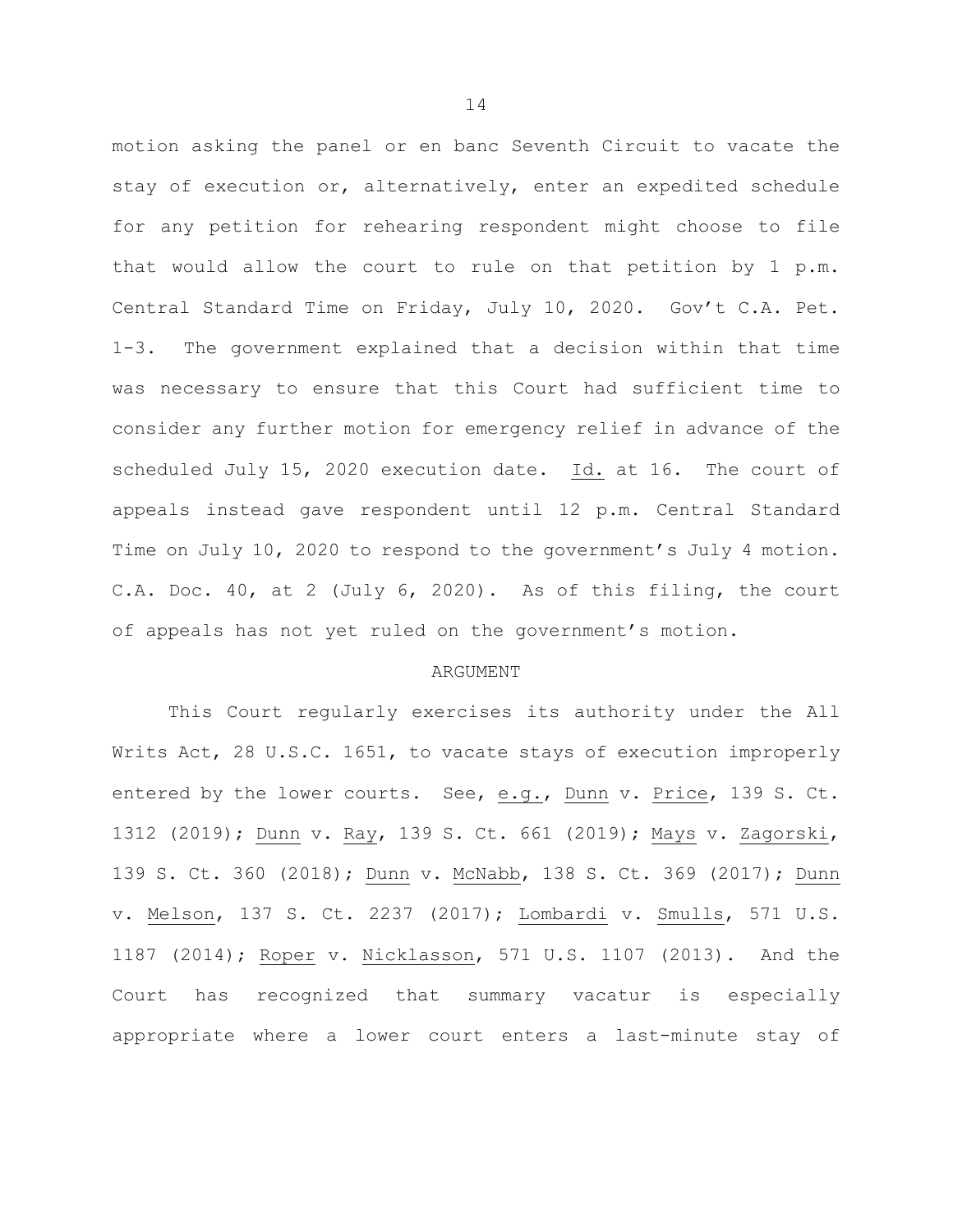motion asking the panel or en banc Seventh Circuit to vacate the stay of execution or, alternatively, enter an expedited schedule for any petition for rehearing respondent might choose to file that would allow the court to rule on that petition by 1 p.m. Central Standard Time on Friday, July 10, 2020. Gov't C.A. Pet. 1-3. The government explained that a decision within that time was necessary to ensure that this Court had sufficient time to consider any further motion for emergency relief in advance of the scheduled July 15, 2020 execution date. Id. at 16. The court of appeals instead gave respondent until 12 p.m. Central Standard Time on July 10, 2020 to respond to the government's July 4 motion. C.A. Doc. 40, at 2 (July 6, 2020). As of this filing, the court of appeals has not yet ruled on the government's motion.

#### **ARGUMENT**

This Court regularly exercises its authority under the All Writs Act, 28 U.S.C. 1651, to vacate stays of execution improperly entered by the lower courts. See, e.g., Dunn v. Price, 139 S. Ct. 1312 (2019); Dunn v. Ray, 139 S. Ct. 661 (2019); Mays v. Zagorski, 139 S. Ct. 360 (2018); Dunn v. McNabb, 138 S. Ct. 369 (2017); Dunn v. Melson, 137 S. Ct. 2237 (2017); Lombardi v. Smulls, 571 U.S. 1187 (2014); Roper v. Nicklasson, 571 U.S. 1107 (2013). And the Court has recognized that summary vacatur is especially appropriate where a lower court enters a last-minute stay of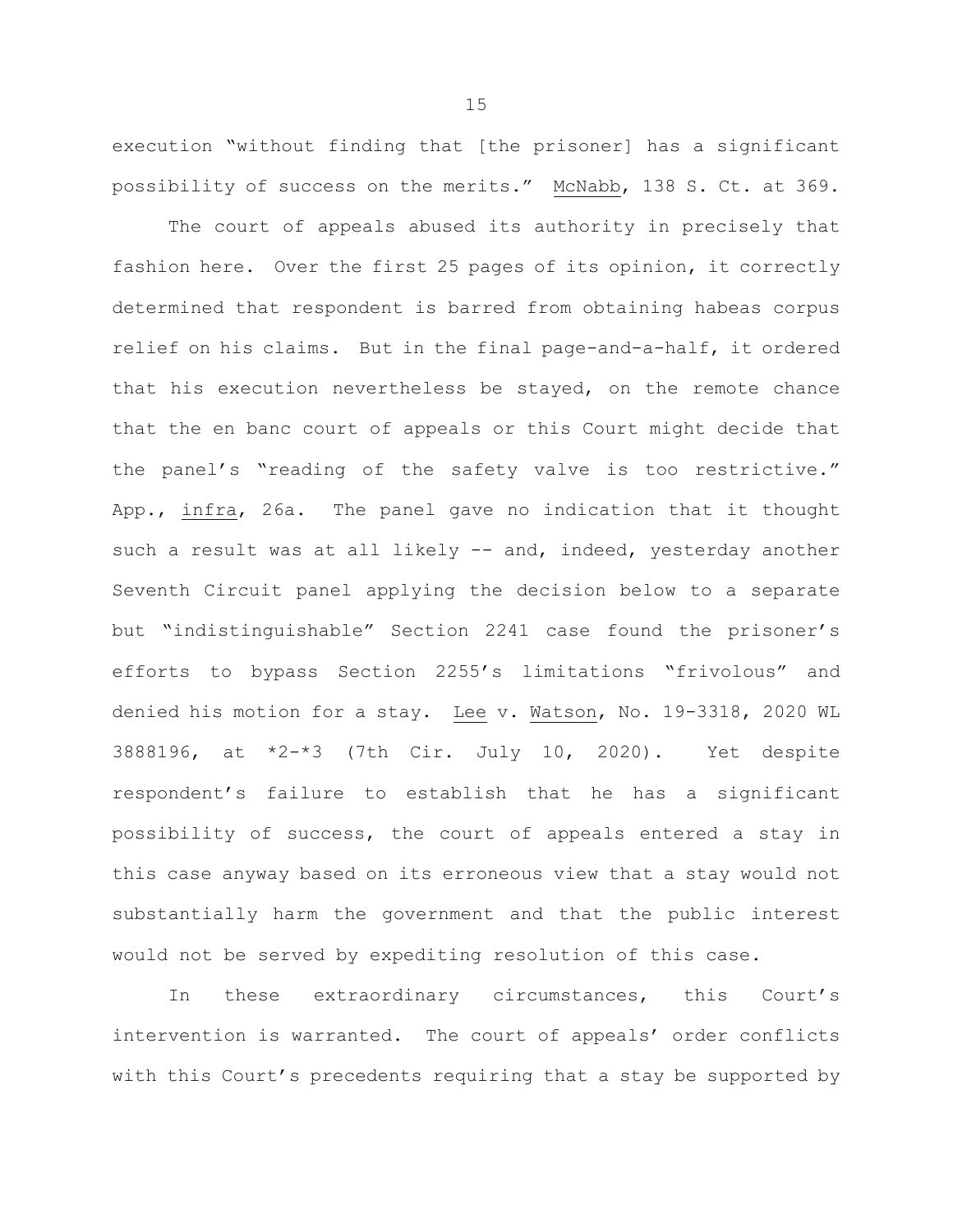execution "without finding that [the prisoner] has a significant possibility of success on the merits." McNabb, 138 S. Ct. at 369.

The court of appeals abused its authority in precisely that fashion here. Over the first 25 pages of its opinion, it correctly determined that respondent is barred from obtaining habeas corpus relief on his claims. But in the final page-and-a-half, it ordered that his execution nevertheless be stayed, on the remote chance that the en banc court of appeals or this Court might decide that the panel's "reading of the safety valve is too restrictive." App., infra, 26a. The panel gave no indication that it thought such a result was at all likely -- and, indeed, yesterday another Seventh Circuit panel applying the decision below to a separate but "indistinguishable" Section 2241 case found the prisoner's efforts to bypass Section 2255's limitations "frivolous" and denied his motion for a stay. Lee v. Watson, No. 19-3318, 2020 WL 3888196, at \*2-\*3 (7th Cir. July 10, 2020). Yet despite respondent's failure to establish that he has a significant possibility of success, the court of appeals entered a stay in this case anyway based on its erroneous view that a stay would not substantially harm the government and that the public interest would not be served by expediting resolution of this case.

In these extraordinary circumstances, this Court's intervention is warranted. The court of appeals' order conflicts with this Court's precedents requiring that a stay be supported by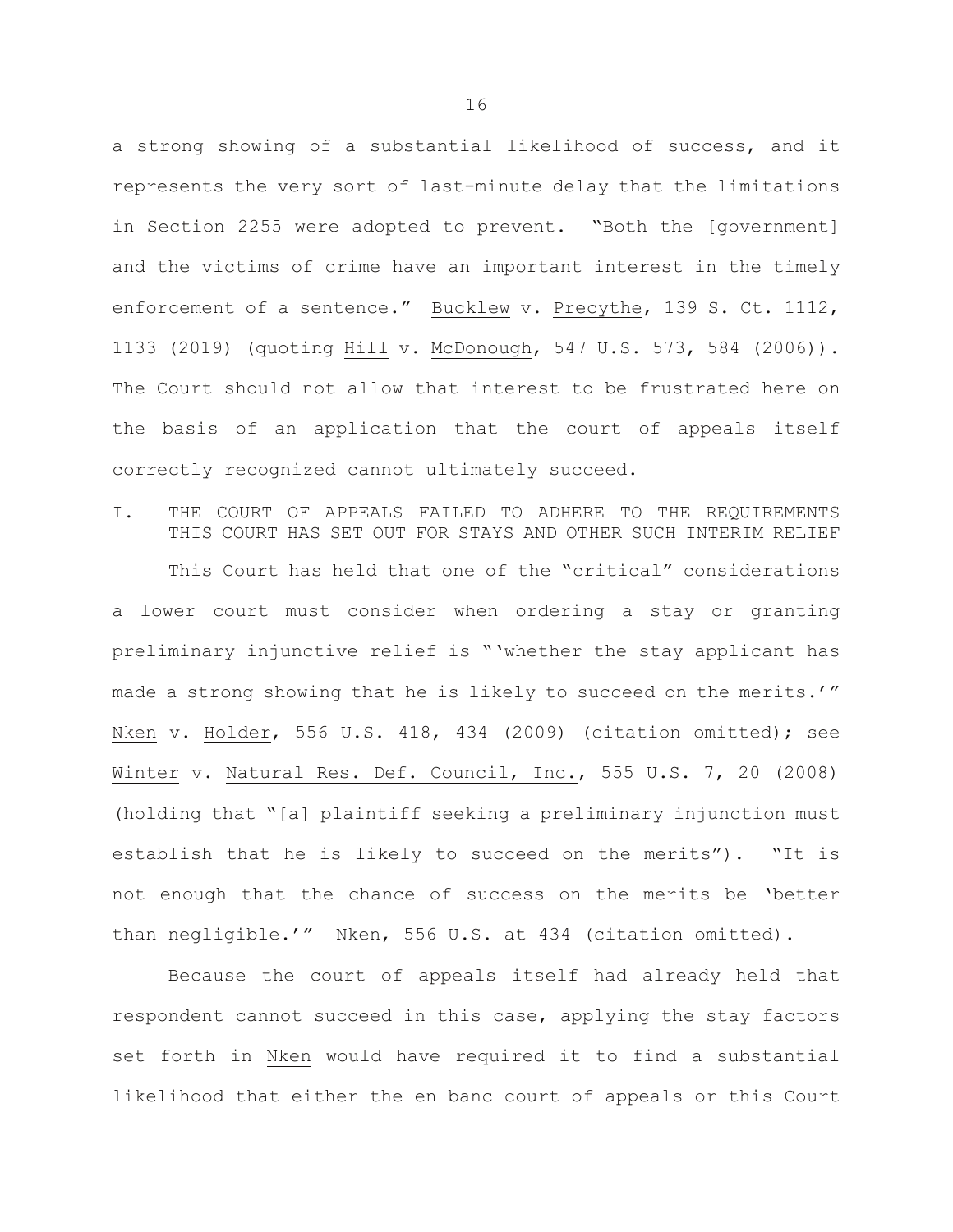a strong showing of a substantial likelihood of success, and it represents the very sort of last-minute delay that the limitations in Section 2255 were adopted to prevent. "Both the [government] and the victims of crime have an important interest in the timely enforcement of a sentence." Bucklew v. Precythe, 139 S. Ct. 1112, 1133 (2019) (quoting Hill v. McDonough, 547 U.S. 573, 584 (2006)). The Court should not allow that interest to be frustrated here on the basis of an application that the court of appeals itself correctly recognized cannot ultimately succeed.

I. THE COURT OF APPEALS FAILED TO ADHERE TO THE REQUIREMENTS THIS COURT HAS SET OUT FOR STAYS AND OTHER SUCH INTERIM RELIEF

This Court has held that one of the "critical" considerations a lower court must consider when ordering a stay or granting preliminary injunctive relief is "'whether the stay applicant has made a strong showing that he is likely to succeed on the merits.'" Nken v. Holder, 556 U.S. 418, 434 (2009) (citation omitted); see Winter v. Natural Res. Def. Council, Inc., 555 U.S. 7, 20 (2008) (holding that "[a] plaintiff seeking a preliminary injunction must establish that he is likely to succeed on the merits"). "It is not enough that the chance of success on the merits be 'better than negligible.'" Nken, 556 U.S. at 434 (citation omitted).

Because the court of appeals itself had already held that respondent cannot succeed in this case, applying the stay factors set forth in Nken would have required it to find a substantial likelihood that either the en banc court of appeals or this Court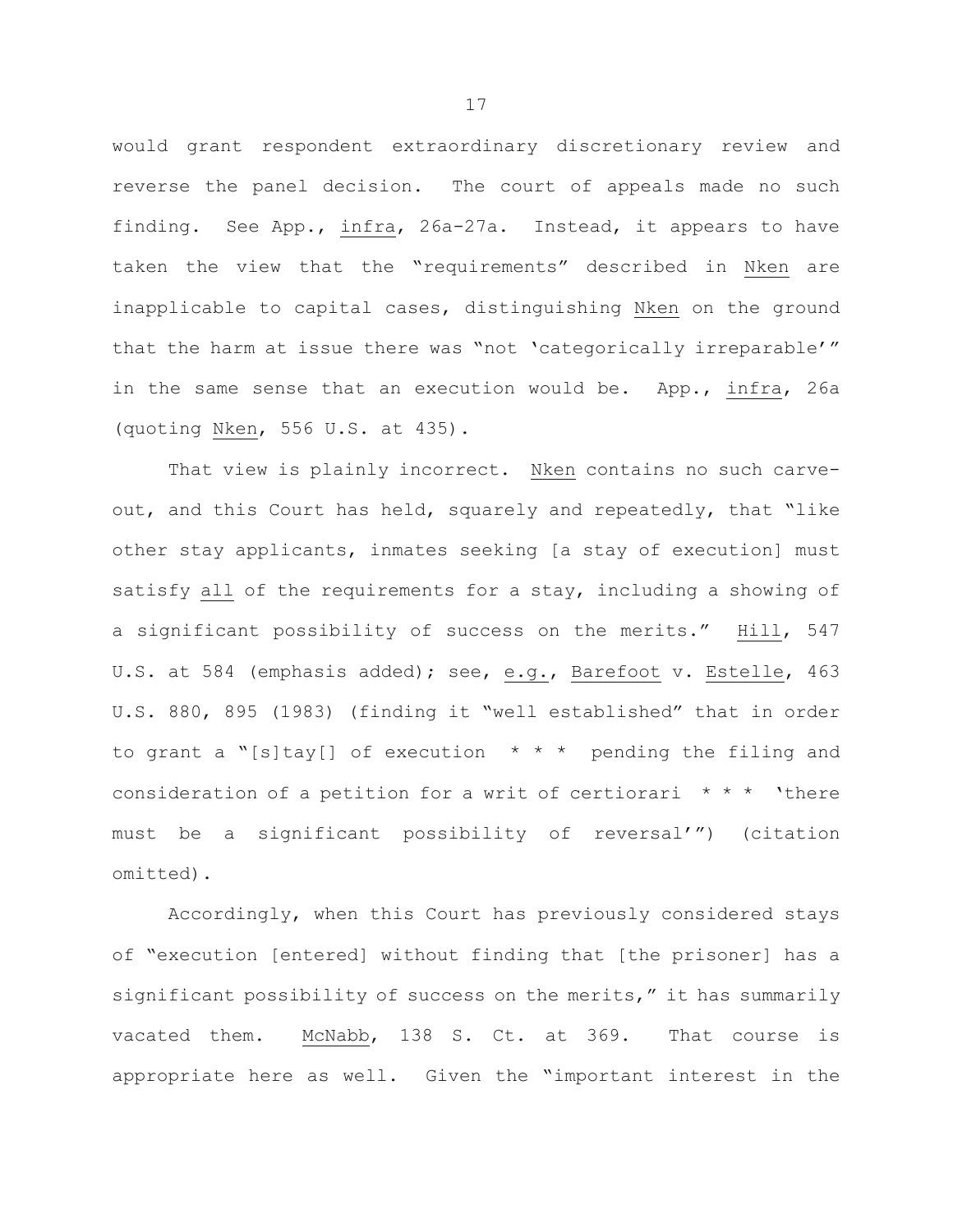would grant respondent extraordinary discretionary review and reverse the panel decision. The court of appeals made no such finding. See App., infra, 26a-27a. Instead, it appears to have taken the view that the "requirements" described in Nken are inapplicable to capital cases, distinguishing Nken on the ground that the harm at issue there was "not 'categorically irreparable'" in the same sense that an execution would be. App., infra, 26a (quoting Nken, 556 U.S. at 435).

That view is plainly incorrect. Nken contains no such carveout, and this Court has held, squarely and repeatedly, that "like other stay applicants, inmates seeking [a stay of execution] must satisfy all of the requirements for a stay, including a showing of a significant possibility of success on the merits." Hill, 547 U.S. at 584 (emphasis added); see, e.g., Barefoot v. Estelle, 463 U.S. 880, 895 (1983) (finding it "well established" that in order to grant a "[s]tay[] of execution  $* * *$  pending the filing and consideration of a petition for a writ of certiorari  $* * * '$  there must be a significant possibility of reversal'") (citation omitted).

Accordingly, when this Court has previously considered stays of "execution [entered] without finding that [the prisoner] has a significant possibility of success on the merits," it has summarily vacated them. McNabb, 138 S. Ct. at 369. That course is appropriate here as well. Given the "important interest in the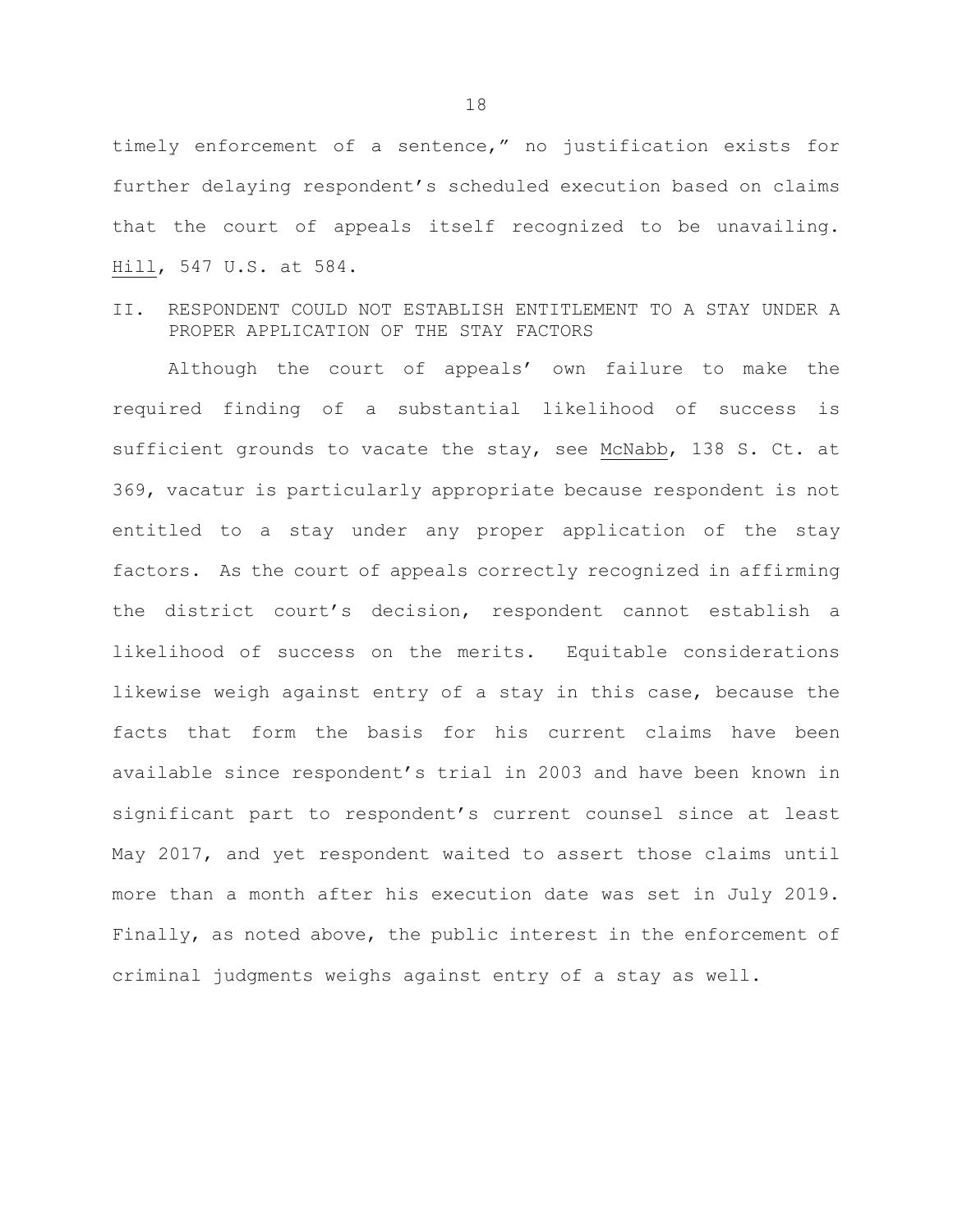timely enforcement of a sentence," no justification exists for further delaying respondent's scheduled execution based on claims that the court of appeals itself recognized to be unavailing. Hill, 547 U.S. at 584.

II. RESPONDENT COULD NOT ESTABLISH ENTITLEMENT TO A STAY UNDER A PROPER APPLICATION OF THE STAY FACTORS

Although the court of appeals' own failure to make the required finding of a substantial likelihood of success is sufficient grounds to vacate the stay, see McNabb, 138 S. Ct. at 369, vacatur is particularly appropriate because respondent is not entitled to a stay under any proper application of the stay factors. As the court of appeals correctly recognized in affirming the district court's decision, respondent cannot establish a likelihood of success on the merits. Equitable considerations likewise weigh against entry of a stay in this case, because the facts that form the basis for his current claims have been available since respondent's trial in 2003 and have been known in significant part to respondent's current counsel since at least May 2017, and yet respondent waited to assert those claims until more than a month after his execution date was set in July 2019. Finally, as noted above, the public interest in the enforcement of criminal judgments weighs against entry of a stay as well.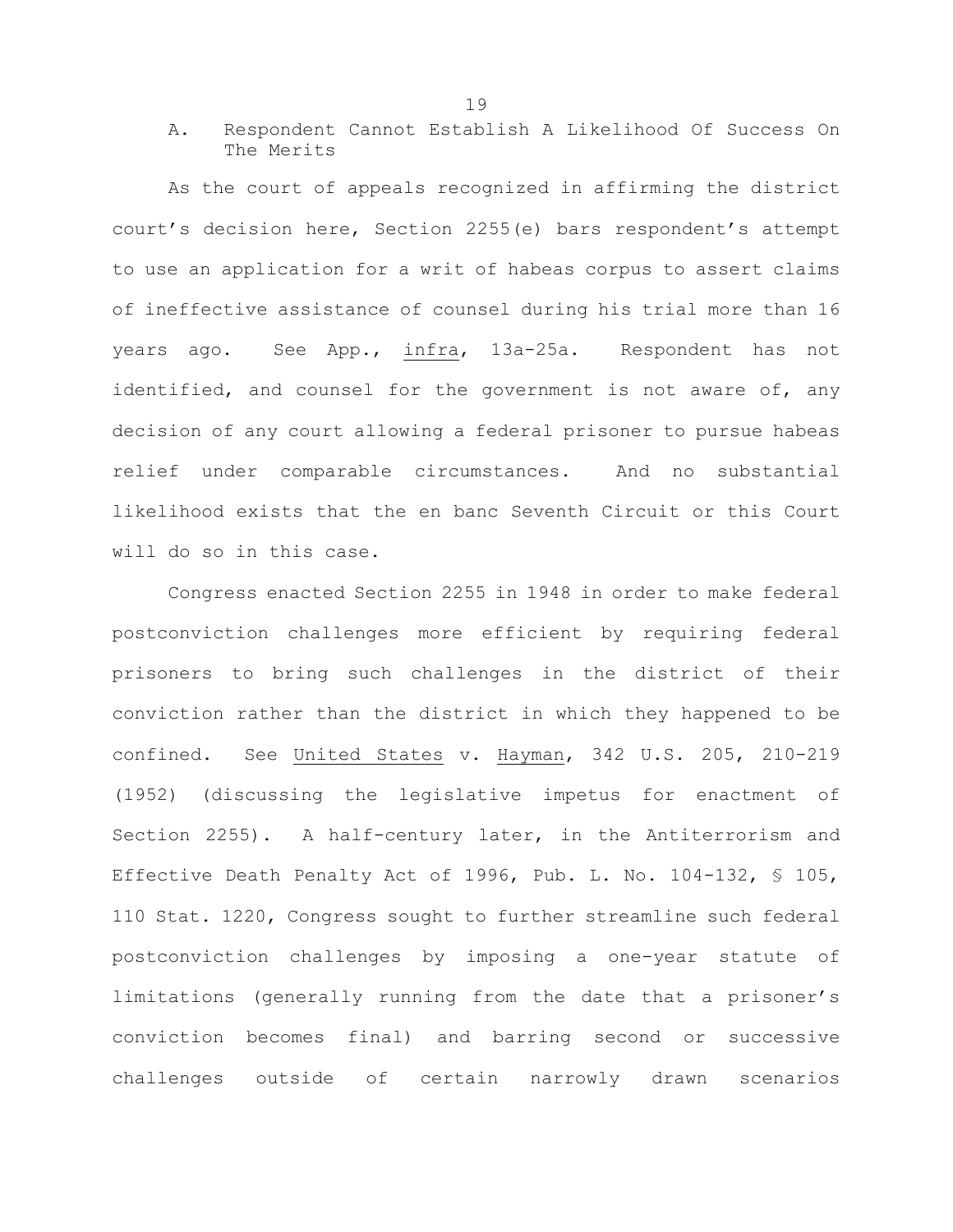A. Respondent Cannot Establish A Likelihood Of Success On The Merits

As the court of appeals recognized in affirming the district court's decision here, Section 2255(e) bars respondent's attempt to use an application for a writ of habeas corpus to assert claims of ineffective assistance of counsel during his trial more than 16 years ago. See App., infra, 13a-25a. Respondent has not identified, and counsel for the government is not aware of, any decision of any court allowing a federal prisoner to pursue habeas relief under comparable circumstances. And no substantial likelihood exists that the en banc Seventh Circuit or this Court will do so in this case.

Congress enacted Section 2255 in 1948 in order to make federal postconviction challenges more efficient by requiring federal prisoners to bring such challenges in the district of their conviction rather than the district in which they happened to be confined. See United States v. Hayman, 342 U.S. 205, 210-219 (1952) (discussing the legislative impetus for enactment of Section 2255). A half-century later, in the Antiterrorism and Effective Death Penalty Act of 1996, Pub. L. No. 104-132, § 105, 110 Stat. 1220, Congress sought to further streamline such federal postconviction challenges by imposing a one-year statute of limitations (generally running from the date that a prisoner's conviction becomes final) and barring second or successive challenges outside of certain narrowly drawn scenarios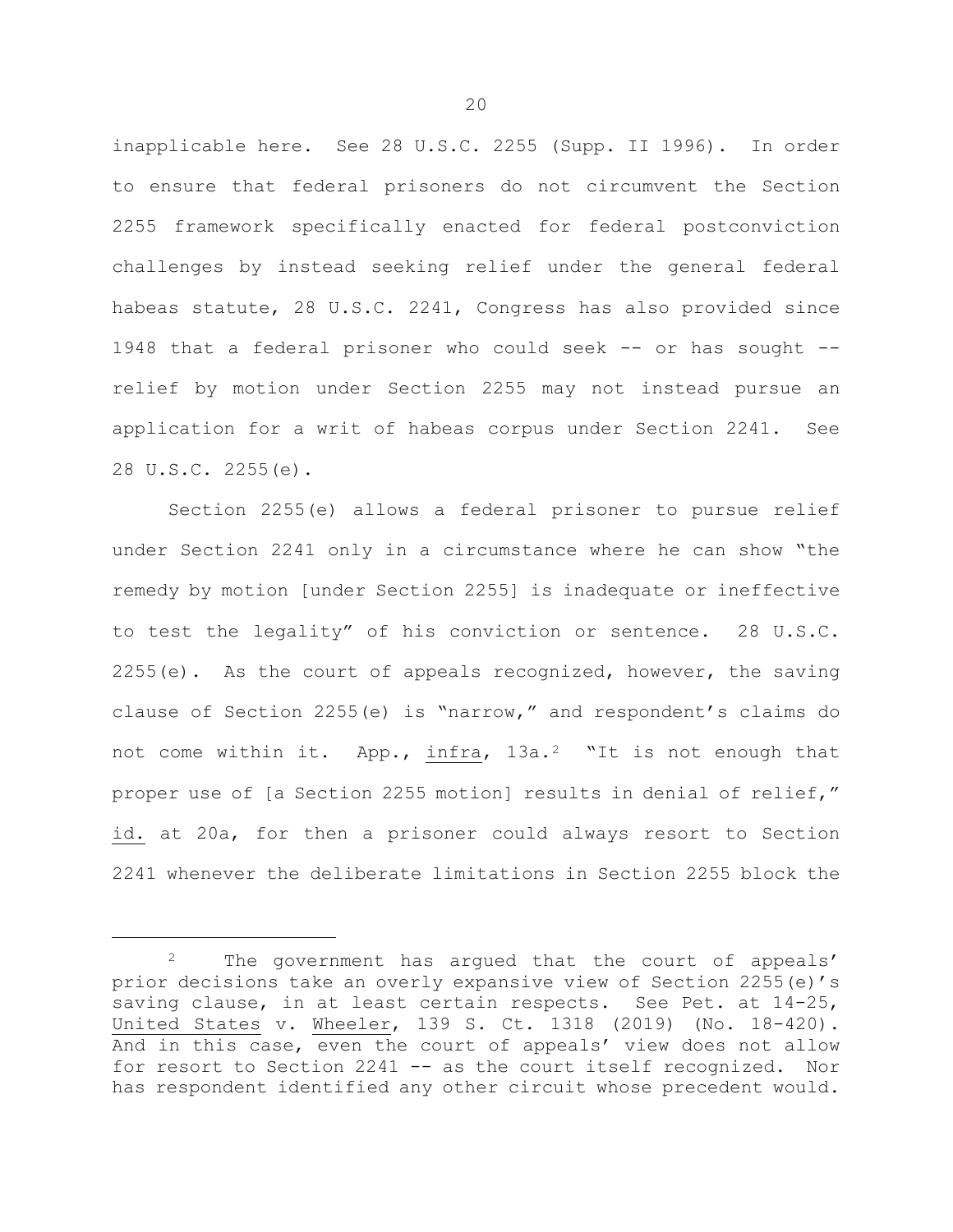inapplicable here. See 28 U.S.C. 2255 (Supp. II 1996). In order to ensure that federal prisoners do not circumvent the Section 2255 framework specifically enacted for federal postconviction challenges by instead seeking relief under the general federal habeas statute, 28 U.S.C. 2241, Congress has also provided since 1948 that a federal prisoner who could seek -- or has sought - relief by motion under Section 2255 may not instead pursue an application for a writ of habeas corpus under Section 2241. See 28 U.S.C. 2255(e).

Section 2255(e) allows a federal prisoner to pursue relief under Section 2241 only in a circumstance where he can show "the remedy by motion [under Section 2255] is inadequate or ineffective to test the legality" of his conviction or sentence. 28 U.S.C.  $2255(e)$ . As the court of appeals recognized, however, the saving clause of Section 2255(e) is "narrow," and respondent's claims do not come within it. App., infra, 13a.<sup>2</sup> "It is not enough that proper use of [a Section 2255 motion] results in denial of relief," id. at 20a, for then a prisoner could always resort to Section 2241 whenever the deliberate limitations in Section 2255 block the

ī

<span id="page-22-0"></span><sup>&</sup>lt;sup>2</sup> The government has argued that the court of appeals' prior decisions take an overly expansive view of Section 2255(e)'s saving clause, in at least certain respects. See Pet. at 14-25, United States v. Wheeler, 139 S. Ct. 1318 (2019) (No. 18-420). And in this case, even the court of appeals' view does not allow for resort to Section 2241 -- as the court itself recognized. Nor has respondent identified any other circuit whose precedent would.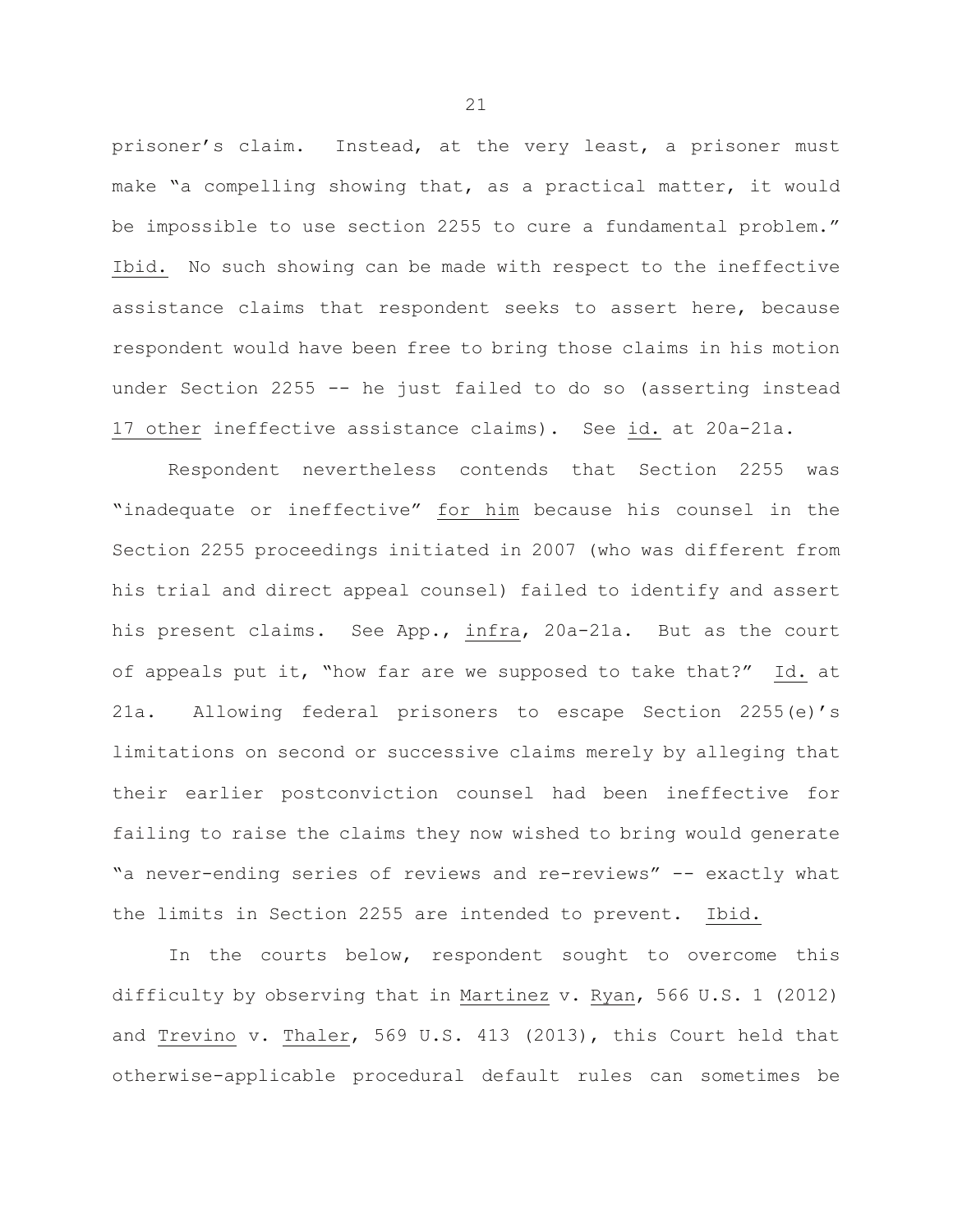prisoner's claim. Instead, at the very least, a prisoner must make "a compelling showing that, as a practical matter, it would be impossible to use section 2255 to cure a fundamental problem." Ibid. No such showing can be made with respect to the ineffective assistance claims that respondent seeks to assert here, because respondent would have been free to bring those claims in his motion under Section 2255 -- he just failed to do so (asserting instead 17 other ineffective assistance claims). See id. at 20a-21a.

Respondent nevertheless contends that Section 2255 was "inadequate or ineffective" for him because his counsel in the Section 2255 proceedings initiated in 2007 (who was different from his trial and direct appeal counsel) failed to identify and assert his present claims. See App., infra, 20a-21a. But as the court of appeals put it, "how far are we supposed to take that?" Id. at 21a. Allowing federal prisoners to escape Section 2255(e)'s limitations on second or successive claims merely by alleging that their earlier postconviction counsel had been ineffective for failing to raise the claims they now wished to bring would generate "a never-ending series of reviews and re-reviews" -- exactly what the limits in Section 2255 are intended to prevent. Ibid.

In the courts below, respondent sought to overcome this difficulty by observing that in Martinez v. Ryan, 566 U.S. 1 (2012) and Trevino v. Thaler, 569 U.S. 413 (2013), this Court held that otherwise-applicable procedural default rules can sometimes be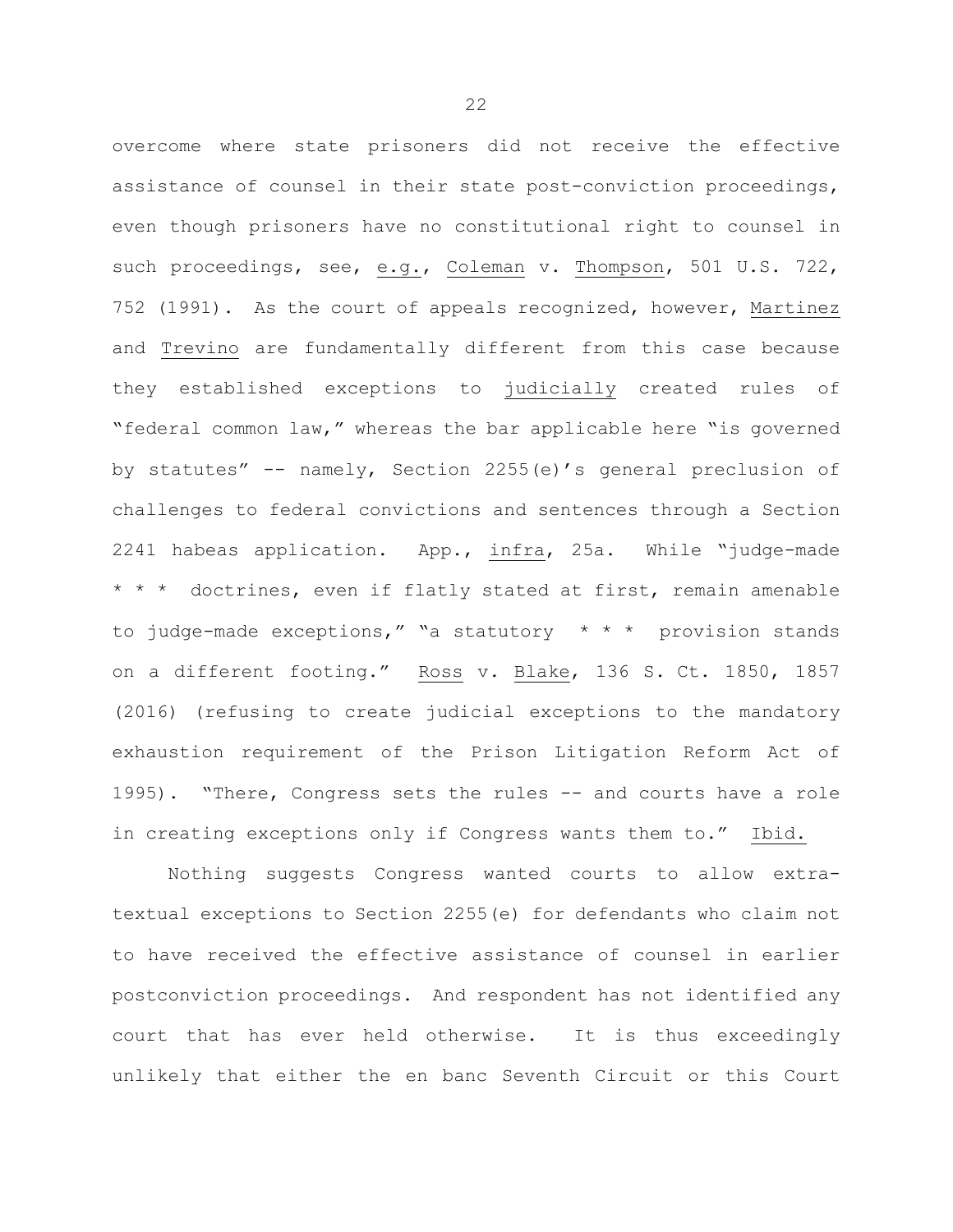overcome where state prisoners did not receive the effective assistance of counsel in their state post-conviction proceedings, even though prisoners have no constitutional right to counsel in such proceedings, see, e.g., Coleman v. Thompson, 501 U.S. 722, 752 (1991). As the court of appeals recognized, however, Martinez and Trevino are fundamentally different from this case because they established exceptions to judicially created rules of "federal common law," whereas the bar applicable here "is governed by statutes" -- namely, Section 2255(e)'s general preclusion of challenges to federal convictions and sentences through a Section 2241 habeas application. App., infra, 25a. While "judge-made \* \* \* doctrines, even if flatly stated at first, remain amenable to judge-made exceptions," "a statutory \* \* \* provision stands on a different footing." Ross v. Blake, 136 S. Ct. 1850, 1857 (2016) (refusing to create judicial exceptions to the mandatory exhaustion requirement of the Prison Litigation Reform Act of 1995). "There, Congress sets the rules -- and courts have a role in creating exceptions only if Congress wants them to." Ibid.

Nothing suggests Congress wanted courts to allow extratextual exceptions to Section 2255(e) for defendants who claim not to have received the effective assistance of counsel in earlier postconviction proceedings. And respondent has not identified any court that has ever held otherwise. It is thus exceedingly unlikely that either the en banc Seventh Circuit or this Court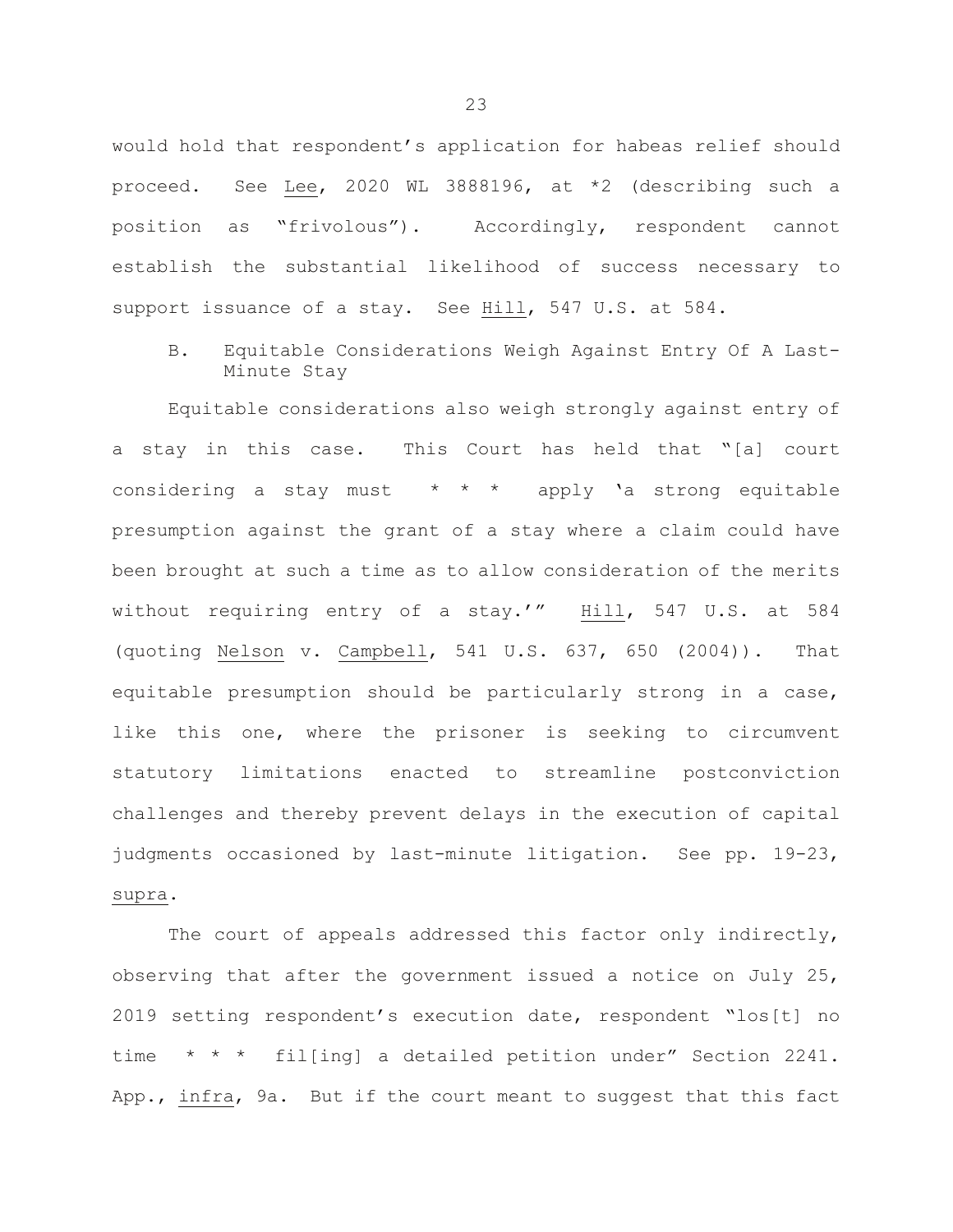would hold that respondent's application for habeas relief should proceed. See Lee, 2020 WL 3888196, at \*2 (describing such a position as "frivolous"). Accordingly, respondent cannot establish the substantial likelihood of success necessary to support issuance of a stay. See Hill, 547 U.S. at 584.

B. Equitable Considerations Weigh Against Entry Of A Last-Minute Stay

Equitable considerations also weigh strongly against entry of a stay in this case. This Court has held that "[a] court considering a stay must \* \* \* apply 'a strong equitable presumption against the grant of a stay where a claim could have been brought at such a time as to allow consideration of the merits without requiring entry of a stay.'" Hill, 547 U.S. at 584 (quoting Nelson v. Campbell, 541 U.S. 637, 650 (2004)). That equitable presumption should be particularly strong in a case, like this one, where the prisoner is seeking to circumvent statutory limitations enacted to streamline postconviction challenges and thereby prevent delays in the execution of capital judgments occasioned by last-minute litigation. See pp. 19-23, supra.

The court of appeals addressed this factor only indirectly, observing that after the government issued a notice on July 25, 2019 setting respondent's execution date, respondent "los[t] no time \* \* \* fil[ing] a detailed petition under" Section 2241. App., infra, 9a. But if the court meant to suggest that this fact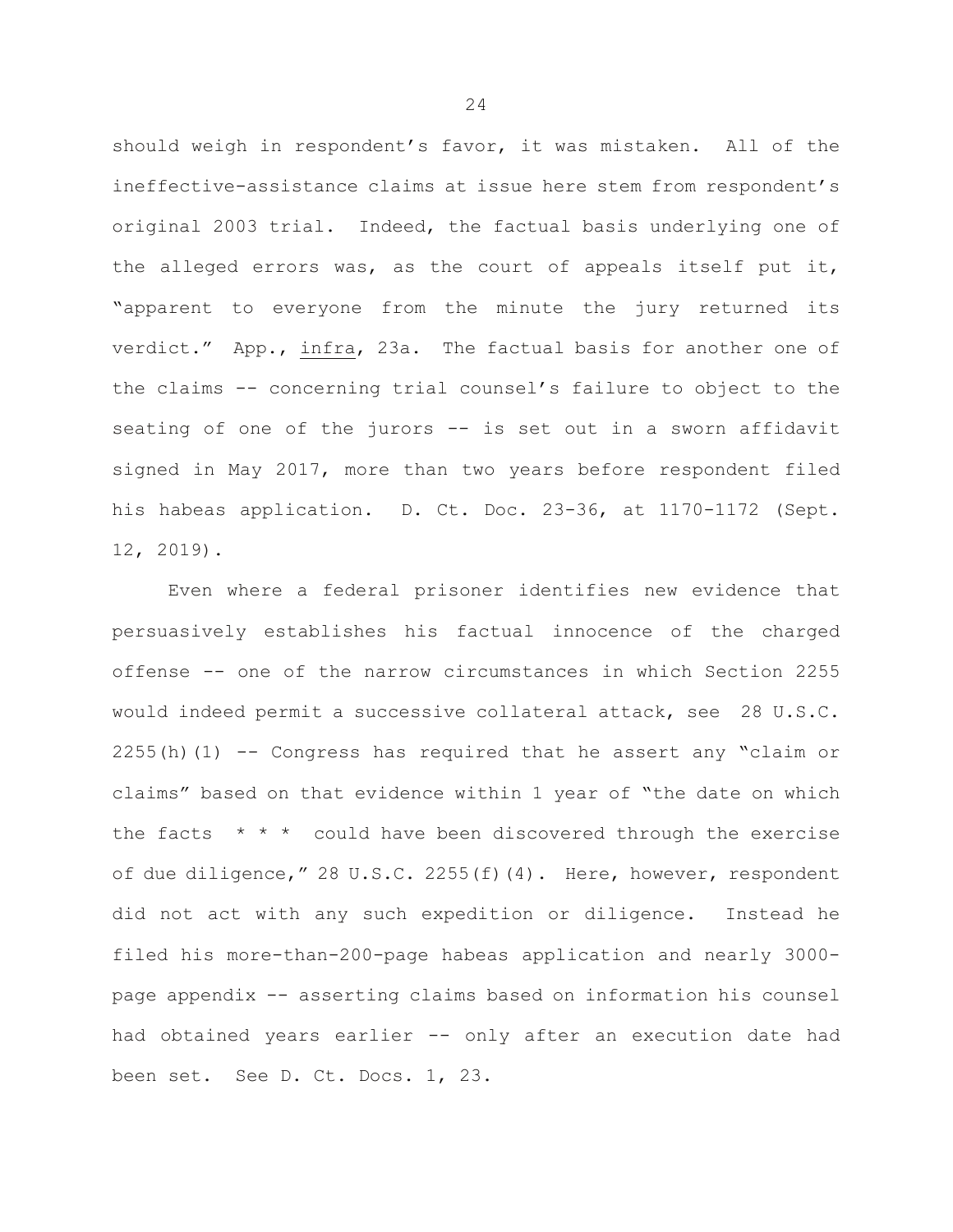should weigh in respondent's favor, it was mistaken. All of the ineffective-assistance claims at issue here stem from respondent's original 2003 trial. Indeed, the factual basis underlying one of the alleged errors was, as the court of appeals itself put it, "apparent to everyone from the minute the jury returned its verdict." App., infra, 23a. The factual basis for another one of the claims -- concerning trial counsel's failure to object to the seating of one of the jurors -- is set out in a sworn affidavit signed in May 2017, more than two years before respondent filed his habeas application. D. Ct. Doc. 23-36, at 1170-1172 (Sept. 12, 2019).

Even where a federal prisoner identifies new evidence that persuasively establishes his factual innocence of the charged offense -- one of the narrow circumstances in which Section 2255 would indeed permit a successive collateral attack, see 28 U.S.C.  $2255(h)(1)$  -- Congress has required that he assert any "claim or claims" based on that evidence within 1 year of "the date on which the facts  $* * *$  could have been discovered through the exercise of due diligence," 28 U.S.C. 2255(f)(4). Here, however, respondent did not act with any such expedition or diligence. Instead he filed his more-than-200-page habeas application and nearly 3000 page appendix -- asserting claims based on information his counsel had obtained years earlier -- only after an execution date had been set. See D. Ct. Docs. 1, 23.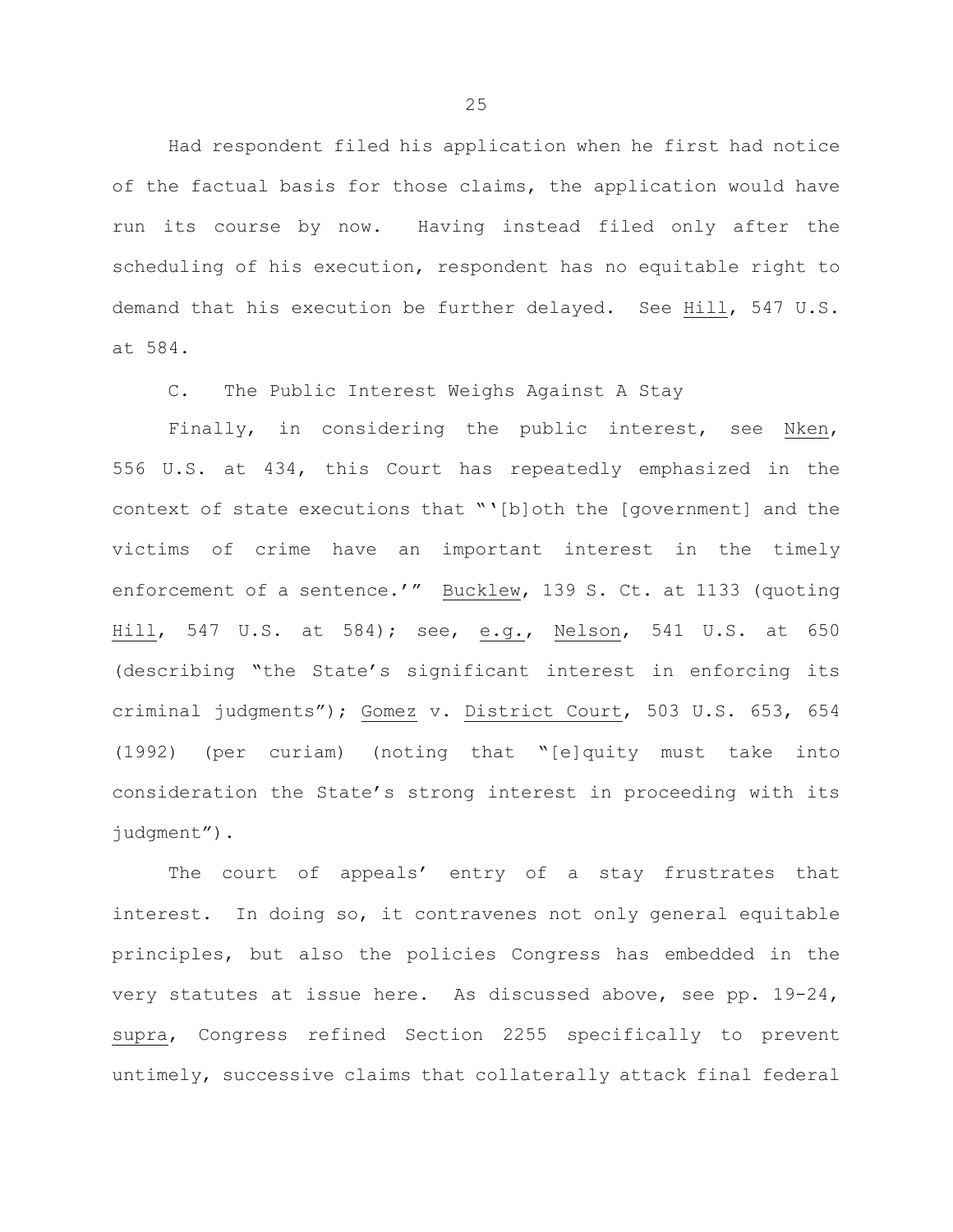Had respondent filed his application when he first had notice of the factual basis for those claims, the application would have run its course by now. Having instead filed only after the scheduling of his execution, respondent has no equitable right to demand that his execution be further delayed. See Hill, 547 U.S. at 584.

C. The Public Interest Weighs Against A Stay

Finally, in considering the public interest, see Nken, 556 U.S. at 434, this Court has repeatedly emphasized in the context of state executions that "'[b]oth the [government] and the victims of crime have an important interest in the timely enforcement of a sentence.'" Bucklew, 139 S. Ct. at 1133 (quoting Hill, 547 U.S. at 584); see, e.g., Nelson, 541 U.S. at 650 (describing "the State's significant interest in enforcing its criminal judgments"); Gomez v. District Court, 503 U.S. 653, 654 (1992) (per curiam) (noting that "[e]quity must take into consideration the State's strong interest in proceeding with its judgment").

The court of appeals' entry of a stay frustrates that interest. In doing so, it contravenes not only general equitable principles, but also the policies Congress has embedded in the very statutes at issue here. As discussed above, see pp. 19-24, supra, Congress refined Section 2255 specifically to prevent untimely, successive claims that collaterally attack final federal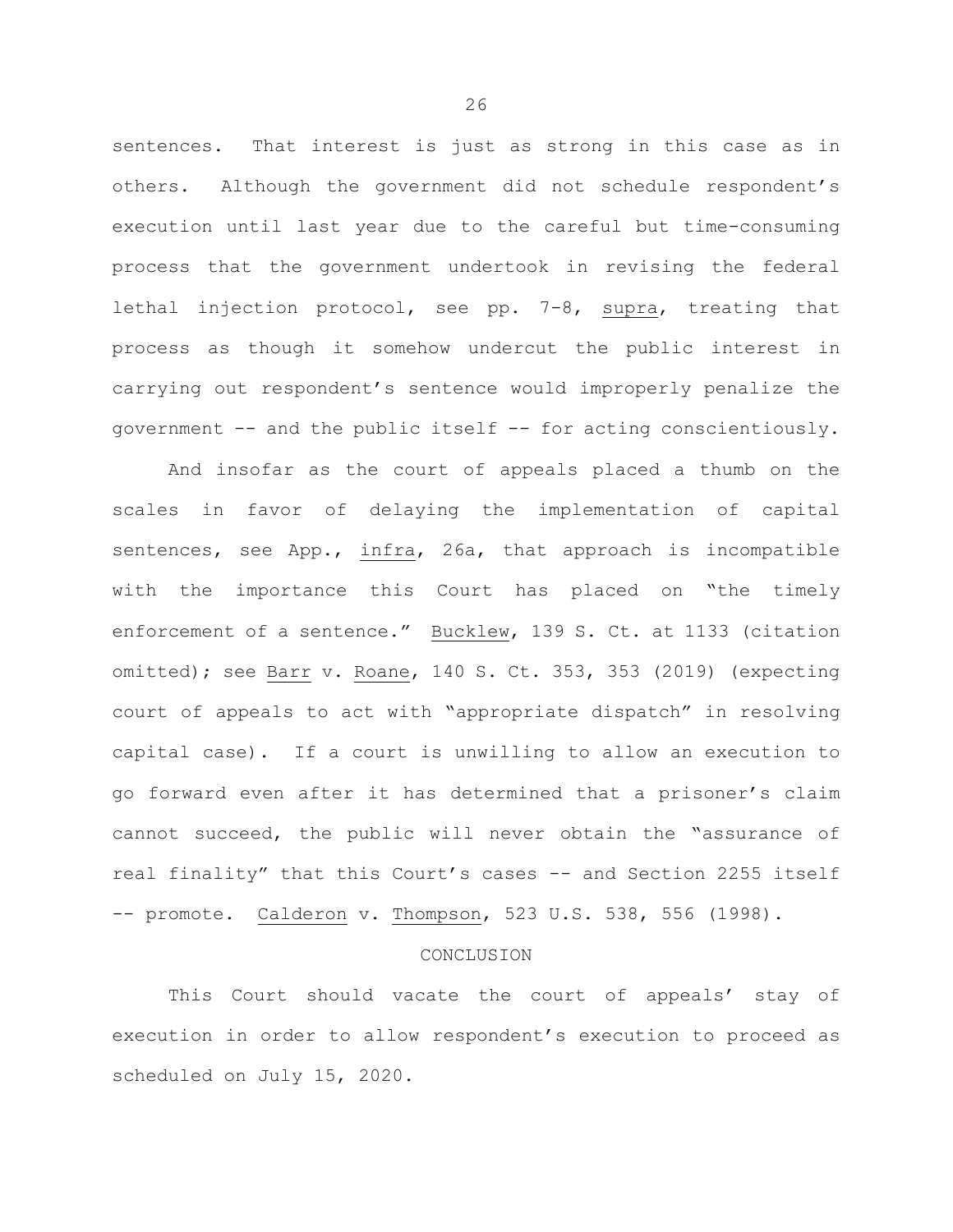sentences. That interest is just as strong in this case as in others. Although the government did not schedule respondent's execution until last year due to the careful but time-consuming process that the government undertook in revising the federal lethal injection protocol, see pp. 7-8, supra, treating that process as though it somehow undercut the public interest in carrying out respondent's sentence would improperly penalize the government -- and the public itself -- for acting conscientiously.

And insofar as the court of appeals placed a thumb on the scales in favor of delaying the implementation of capital sentences, see App., infra, 26a, that approach is incompatible with the importance this Court has placed on "the timely enforcement of a sentence." Bucklew, 139 S. Ct. at 1133 (citation omitted); see Barr v. Roane, 140 S. Ct. 353, 353 (2019) (expecting court of appeals to act with "appropriate dispatch" in resolving capital case). If a court is unwilling to allow an execution to go forward even after it has determined that a prisoner's claim cannot succeed, the public will never obtain the "assurance of real finality" that this Court's cases -- and Section 2255 itself -- promote. Calderon v. Thompson, 523 U.S. 538, 556 (1998).

#### **CONCLUSION**

This Court should vacate the court of appeals' stay of execution in order to allow respondent's execution to proceed as scheduled on July 15, 2020.